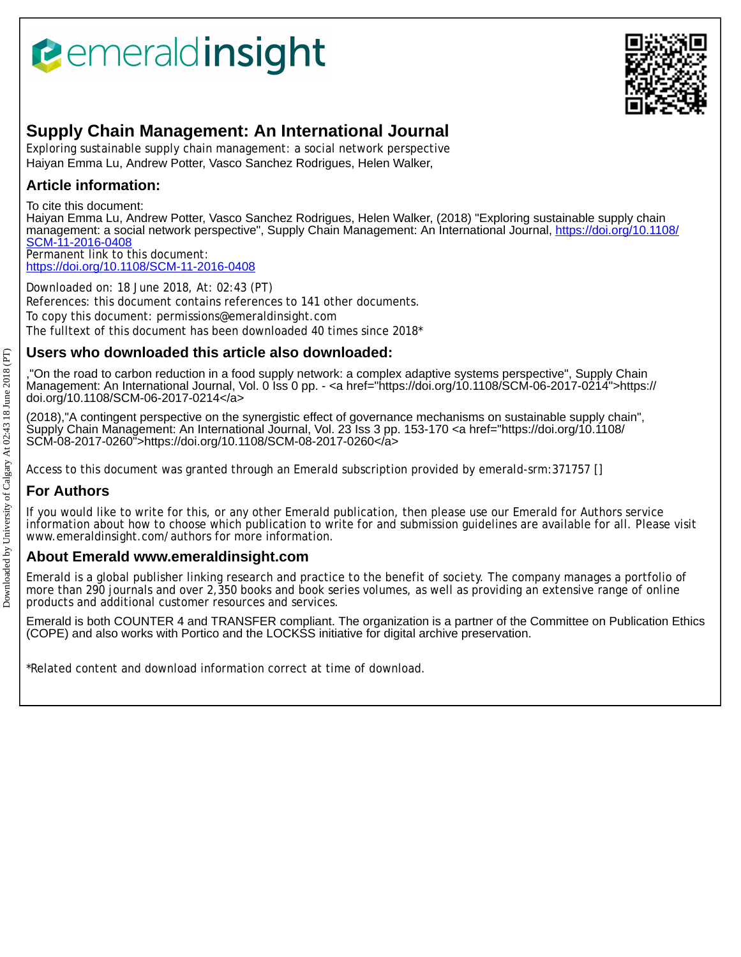# *<u><b>Pemeraldinsight</u>*



# **Supply Chain Management: An International Journal**

Exploring sustainable supply chain management: a social network perspective Haiyan Emma Lu, Andrew Potter, Vasco Sanchez Rodrigues, Helen Walker,

# **Article information:**

To cite this document:

Haiyan Emma Lu, Andrew Potter, Vasco Sanchez Rodrigues, Helen Walker, (2018) "Exploring sustainable supply chain management: a social network perspective", Supply Chain Management: An International Journal, [https://doi.org/10.1108/](https://doi.org/10.1108/SCM-11-2016-0408) [SCM-11-2016-0408](https://doi.org/10.1108/SCM-11-2016-0408) Permanent link to this document:

<https://doi.org/10.1108/SCM-11-2016-0408>

Downloaded on: 18 June 2018, At: 02:43 (PT) References: this document contains references to 141 other documents. To copy this document: permissions@emeraldinsight.com The fulltext of this document has been downloaded 40 times since 2018\*

# **Users who downloaded this article also downloaded:**

"On the road to carbon reduction in a food supply network: a complex adaptive systems perspective", Supply Chain Management: An International Journal, Vol. 0 Iss 0 pp. - <a href="https://doi.org/10.1108/SCM-06-2017-0214">https:// doi.org/10.1108/SCM-06-2017-0214</a>

(2018),"A contingent perspective on the synergistic effect of governance mechanisms on sustainable supply chain", Supply Chain Management: An International Journal, Vol. 23 Iss 3 pp. 153-170 <a href="https://doi.org/10.1108/ SCM-08-2017-0260">https://doi.org/10.1108/SCM-08-2017-0260</a>

Access to this document was granted through an Emerald subscription provided by emerald-srm:371757 []

# **For Authors**

If you would like to write for this, or any other Emerald publication, then please use our Emerald for Authors service information about how to choose which publication to write for and submission guidelines are available for all. Please visit www.emeraldinsight.com/authors for more information.

# **About Emerald www.emeraldinsight.com**

Emerald is a global publisher linking research and practice to the benefit of society. The company manages a portfolio of more than 290 journals and over 2,350 books and book series volumes, as well as providing an extensive range of online products and additional customer resources and services.

Emerald is both COUNTER 4 and TRANSFER compliant. The organization is a partner of the Committee on Publication Ethics (COPE) and also works with Portico and the LOCKSS initiative for digital archive preservation.

\*Related content and download information correct at time of download.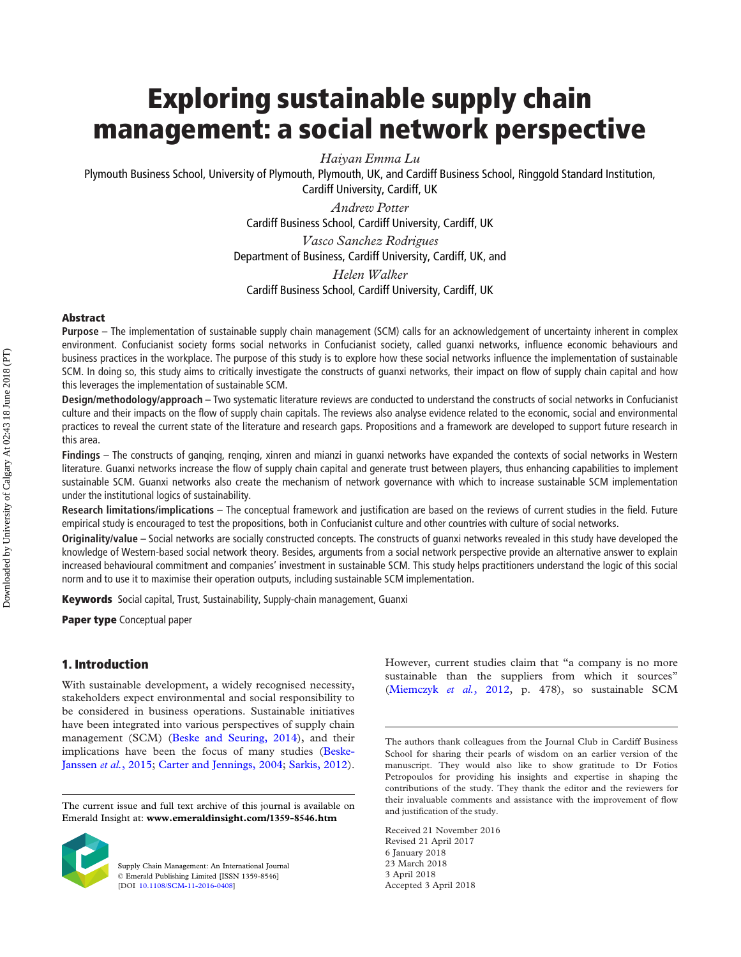# **Exploring sustainable supply chain management: a social network perspective**

*Haiyan Emma Lu* 

Plymouth Business School, University of Plymouth, Plymouth, UK, and Cardiff Business School, Ringgold Standard Institution, Cardiff University, Cardiff, UK

> *Andrew Potter*  Cardiff Business School, Cardiff University, Cardiff, UK

*Vasco Sanchez Rodrigues*  Department of Business, Cardiff University, Cardiff, UK, and

*Helen Walker*  Cardiff Business School, Cardiff University, Cardiff, UK

# **Abstract**

**Purpose** – The implementation of sustainable supply chain management (SCM) calls for an acknowledgement of uncertainty inherent in complex environment. Confucianist society forms social networks in Confucianist society, called guanxi networks, influence economic behaviours and business practices in the workplace. The purpose of this study is to explore how these social networks influence the implementation of sustainable SCM. In doing so, this study aims to critically investigate the constructs of guanxi networks, their impact on flow of supply chain capital and how this leverages the implementation of sustainable SCM.

**Design/methodology/approach** – Two systematic literature reviews are conducted to understand the constructs of social networks in Confucianist culture and their impacts on the flow of supply chain capitals. The reviews also analyse evidence related to the economic, social and environmental practices to reveal the current state of the literature and research gaps. Propositions and a framework are developed to support future research in this area.

**Findings** – The constructs of ganqing, renqing, xinren and mianzi in guanxi networks have expanded the contexts of social networks in Western literature. Guanxi networks increase the flow of supply chain capital and generate trust between players, thus enhancing capabilities to implement sustainable SCM. Guanxi networks also create the mechanism of network governance with which to increase sustainable SCM implementation under the institutional logics of sustainability.

**Research limitations/implications** – The conceptual framework and justification are based on the reviews of current studies in the field. Future empirical study is encouraged to test the propositions, both in Confucianist culture and other countries with culture of social networks.

**Originality/value** – Social networks are socially constructed concepts. The constructs of guanxi networks revealed in this study have developed the knowledge of Western-based social network theory. Besides, arguments from a social network perspective provide an alternative answer to explain increased behavioural commitment and companies' investment in sustainable SCM. This study helps practitioners understand the logic of this social norm and to use it to maximise their operation outputs, including sustainable SCM implementation.

**Keywords** Social capital, Trust, Sustainability, Supply-chain management, Guanxi

**Paper type** Conceptual paper

# **1. Introduction**

With sustainable development, a widely recognised necessity, stakeholders expect environmental and social responsibility to be considered in business operations. Sustainable initiatives have been integrated into various perspectives of supply chain management (SCM) ([Beske and Seuring, 2014\)](#page-14-0), and their implications have been the focus of many studies [\(Beske-](#page-14-1)[Janssen](#page-14-1) *et al.*, 2015; [Carter and Jennings, 2004;](#page-14-2) [Sarkis, 2012\)](#page-16-0).

The current issue and full text archive of this journal is available on Emerald Insight at: **www.emeraldinsight.com/1359-8546.htm** 



Supply Chain Management: An International Journal © Emerald Publishing Limited [ISSN 1359-8546] [DOI [10.1108/SCM-11-2016-0408\]](http://dx.doi.org/10.1108/SCM-11-2016-0408)

However, current studies claim that "a company is no more sustainable than the suppliers from which it sources" [\(Miemczyk](#page-16-1) *et al.*, 2012, p. 478), so sustainable SCM

The authors thank colleagues from the Journal Club in Cardiff Business School for sharing their pearls of wisdom on an earlier version of the manuscript. They would also like to show gratitude to Dr Fotios Petropoulos for providing his insights and expertise in shaping the contributions of the study. They thank the editor and the reviewers for their invaluable comments and assistance with the improvement of flow and justification of the study.

Received 21 November 2016 Revised 21 April 2017 6 January 2018 23 March 2018 3 April 2018 Accepted 3 April 2018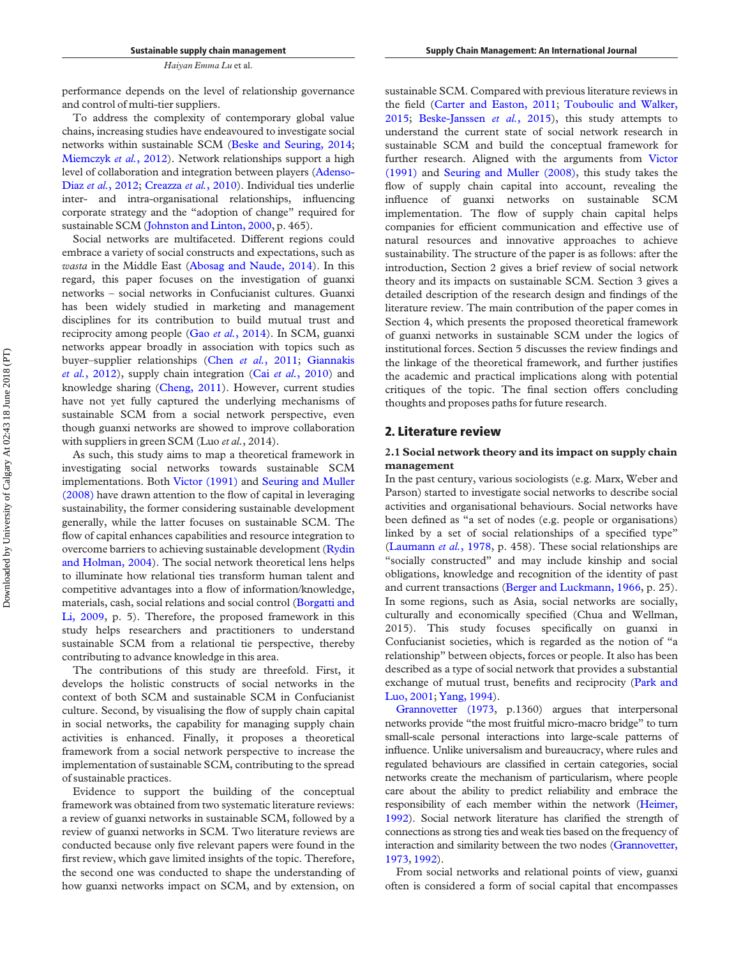performance depends on the level of relationship governance and control of multi-tier suppliers.

To address the complexity of contemporary global value chains, increasing studies have endeavoured to investigate social networks within sustainable SCM ([Beske and Seuring, 2014](#page-14-0); [Miemczyk](#page-16-1) *et al.*, 2012). Network relationships support a high level of collaboration and integration between players ([Adenso-](#page-13-0)Diaz *et al.*[, 2012](#page-13-0); [Creazza](#page-15-0) *et al.*, 2010). Individual ties underlie inter- and intra-organisational relationships, influencing corporate strategy and the "adoption of change" required for sustainable SCM [\(Johnston and Linton, 2000,](#page-15-1) p. 465).

Social networks are multifaceted. Different regions could embrace a variety of social constructs and expectations, such as *wasta* in the Middle East [\(Abosag and Naude, 2014](#page-13-1)). In this regard, this paper focuses on the investigation of guanxi networks – social networks in Confucianist cultures. Guanxi has been widely studied in marketing and management disciplines for its contribution to build mutual trust and reciprocity among people (Gao *et al.*[, 2014](#page-15-2)). In SCM, guanxi networks appear broadly in association with topics such as buyer–supplier relationships (Chen *et al.*[, 2011](#page-14-3); [Giannakis](#page-15-3)  *et al.*[, 2012](#page-15-3)), supply chain integration (Cai *et al.*[, 2010](#page-14-4)) and knowledge sharing [\(Cheng, 2011\)](#page-14-5). However, current studies have not yet fully captured the underlying mechanisms of sustainable SCM from a social network perspective, even though guanxi networks are showed to improve collaboration with suppliers in green SCM (Luo *et al.*, 2014).

As such, this study aims to map a theoretical framework in investigating social networks towards sustainable SCM implementations. Both [Victor \(1991\)](#page-17-0) and [Seuring and Muller](#page-16-2)  [\(2008\)](#page-16-2) have drawn attention to the flow of capital in leveraging sustainability, the former considering sustainable development generally, while the latter focuses on sustainable SCM. The flow of capital enhances capabilities and resource integration to overcome barriers to achieving sustainable development ([Rydin](#page-16-3)  [and Holman, 2004](#page-16-3)). The social network theoretical lens helps to illuminate how relational ties transform human talent and competitive advantages into a flow of information/knowledge, materials, cash, social relations and social control [\(Borgatti and](#page-14-6)  [Li, 2009,](#page-14-6) p. 5). Therefore, the proposed framework in this study helps researchers and practitioners to understand sustainable SCM from a relational tie perspective, thereby contributing to advance knowledge in this area.

The contributions of this study are threefold. First, it develops the holistic constructs of social networks in the context of both SCM and sustainable SCM in Confucianist culture. Second, by visualising the flow of supply chain capital in social networks, the capability for managing supply chain activities is enhanced. Finally, it proposes a theoretical framework from a social network perspective to increase the implementation of sustainable SCM, contributing to the spread of sustainable practices.

Evidence to support the building of the conceptual framework was obtained from two systematic literature reviews: a review of guanxi networks in sustainable SCM, followed by a review of guanxi networks in SCM. Two literature reviews are conducted because only five relevant papers were found in the first review, which gave limited insights of the topic. Therefore, the second one was conducted to shape the understanding of how guanxi networks impact on SCM, and by extension, on sustainable SCM. Compared with previous literature reviews in the field [\(Carter and Easton, 2011;](#page-14-7) [Touboulic and Walker,](#page-17-1)  [2015;](#page-17-1) [Beske-Janssen](#page-14-1) *et al.*, 2015), this study attempts to understand the current state of social network research in sustainable SCM and build the conceptual framework for further research. Aligned with the arguments from [Victor](#page-17-0)  [\(1991\)](#page-17-0) and [Seuring and Muller \(2008\),](#page-16-2) this study takes the flow of supply chain capital into account, revealing the influence of guanxi networks on sustainable SCM implementation. The flow of supply chain capital helps companies for efficient communication and effective use of natural resources and innovative approaches to achieve sustainability. The structure of the paper is as follows: after the introduction, Section 2 gives a brief review of social network theory and its impacts on sustainable SCM. Section 3 gives a detailed description of the research design and findings of the literature review. The main contribution of the paper comes in Section 4, which presents the proposed theoretical framework of guanxi networks in sustainable SCM under the logics of institutional forces. Section 5 discusses the review findings and the linkage of the theoretical framework, and further justifies the academic and practical implications along with potential critiques of the topic. The final section offers concluding thoughts and proposes paths for future research.

# **2. Literature review**

# **2.1 Social network theory and its impact on supply chain management**

In the past century, various sociologists (e.g. Marx, Weber and Parson) started to investigate social networks to describe social activities and organisational behaviours. Social networks have been defined as "a set of nodes (e.g. people or organisations) linked by a set of social relationships of a specified type" [\(Laumann](#page-15-4) *et al.*, 1978, p. 458). These social relationships are "socially constructed" and may include kinship and social obligations, knowledge and recognition of the identity of past and current transactions [\(Berger and Luckmann, 1966](#page-14-8), p. 25). In some regions, such as Asia, social networks are socially, culturally and economically specified ([Chua and Wellman,](#page-14-9)  2015). This study focuses specifically on guanxi in Confucianist societies, which is regarded as the notion of "a relationship" between objects, forces or people. It also has been described as a type of social network that provides a substantial exchange of mutual trust, benefits and reciprocity [\(Park and](#page-16-4)  [Luo, 2001](#page-16-4); [Yang, 1994\)](#page-17-2).

[Grannovetter \(1973,](#page-15-5) p.1360) argues that interpersonal networks provide "the most fruitful micro-macro bridge" to turn small-scale personal interactions into large-scale patterns of influence. Unlike universalism and bureaucracy, where rules and regulated behaviours are classified in certain categories, social networks create the mechanism of particularism, where people care about the ability to predict reliability and embrace the responsibility of each member within the network ([Heimer,](#page-15-6)  [1992](#page-15-6)). Social network literature has clarified the strength of connections as strong ties and weak ties based on the frequency of interaction and similarity between the two nodes [\(Grannovetter,](#page-15-5)  [1973](#page-15-5), [1992\)](#page-15-7).

From social networks and relational points of view, guanxi often is considered a form of social capital that encompasses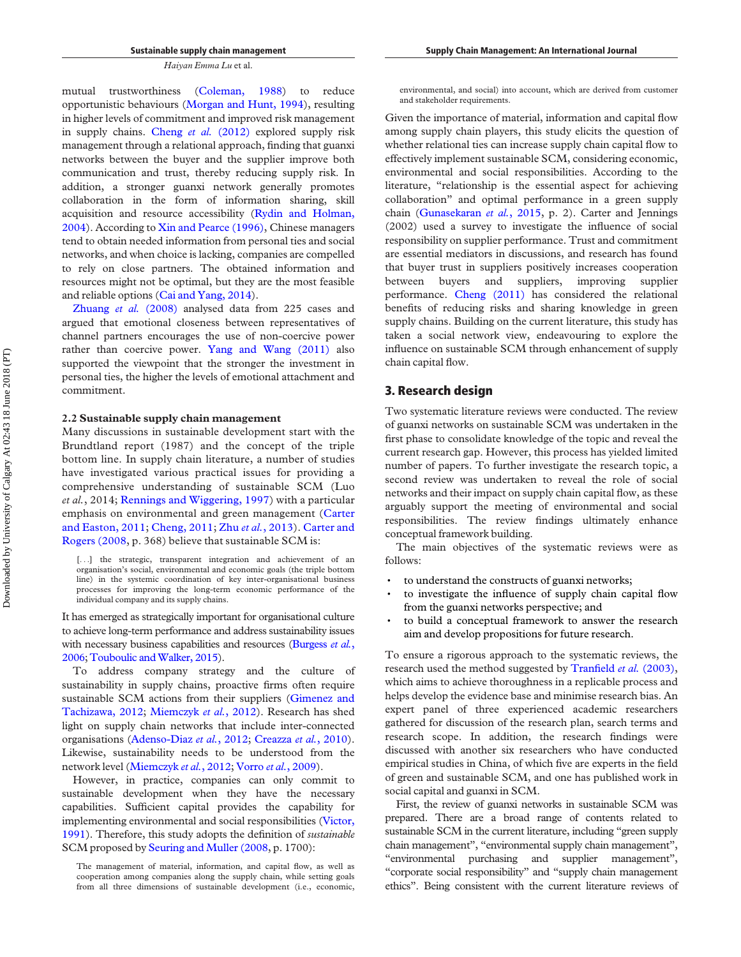mutual trustworthiness [\(Coleman, 1988](#page-15-8)) to reduce opportunistic behaviours [\(Morgan and Hunt, 1994\)](#page-16-5), resulting in higher levels of commitment and improved risk management in supply chains. [Cheng](#page-14-10) *et al.* (2012) explored supply risk management through a relational approach, finding that guanxi networks between the buyer and the supplier improve both communication and trust, thereby reducing supply risk. In addition, a stronger guanxi network generally promotes collaboration in the form of information sharing, skill acquisition and resource accessibility [\(Rydin and Holman,](#page-16-3)  [2004\)](#page-16-3). According to [Xin and Pearce \(1996\)](#page-17-3), Chinese managers tend to obtain needed information from personal ties and social networks, and when choice is lacking, companies are compelled to rely on close partners. The obtained information and resources might not be optimal, but they are the most feasible and reliable options [\(Cai and Yang, 2014\)](#page-14-11).

[Zhuang](#page-17-4) et al. (2008) analysed data from 225 cases and argued that emotional closeness between representatives of channel partners encourages the use of non-coercive power rather than coercive power. [Yang and Wang \(2011\)](#page-17-5) also supported the viewpoint that the stronger the investment in personal ties, the higher the levels of emotional attachment and commitment.

#### **2.2 Sustainable supply chain management**

Many discussions in sustainable development start with the Brundtland report (1987) and the concept of the triple bottom line. In supply chain literature, a number of studies have investigated various practical issues for providing a comprehensive understanding of sustainable SCM (Luo *et al.*, 2014; [Rennings and Wiggering, 1997\)](#page-16-6) with a particular emphasis on environmental and green management [\(Carter](#page-14-7) [and Easton, 2011](#page-14-7); [Cheng, 2011;](#page-14-5) Zhu *et al.*[, 2013](#page-17-6)). [Carter and](#page-14-12) [Rogers \(2008](#page-14-12), p. 368) believe that sustainable SCM is:

[...] the strategic, transparent integration and achievement of an organisation's social, environmental and economic goals (the triple bottom line) in the systemic coordination of key inter-organisational business processes for improving the long-term economic performance of the individual company and its supply chains.

It has emerged as strategically important for organisational culture to achieve long-term performance and address sustainability issues with necessary business capabilities and resources ([Burgess](#page-14-13) *et al.*, [2006;](#page-14-13) [Touboulic and Walker, 2015](#page-17-1)).

To address company strategy and the culture of sustainability in supply chains, proactive firms often require sustainable SCM actions from their suppliers ([Gimenez and](#page-15-9)  [Tachizawa, 2012;](#page-15-9) [Miemczyk](#page-16-1) *et al.*, 2012). Research has shed light on supply chain networks that include inter-connected organisations [\(Adenso-Diaz](#page-13-0) *et al.*, 2012; [Creazza](#page-15-0) *et al.*, 2010). Likewise, sustainability needs to be understood from the network level ([Miemczyk](#page-16-1) *et al.*, 2012; [Vorro](#page-17-7) *et al.*, 2009).

However, in practice, companies can only commit to sustainable development when they have the necessary capabilities. Sufficient capital provides the capability for implementing environmental and social responsibilities ([Victor,](#page-17-0)  [1991\)](#page-17-0). Therefore, this study adopts the definition of *sustainable*  SCM proposed by [Seuring and Muller \(2008,](#page-16-2) p. 1700):

environmental, and social) into account, which are derived from customer and stakeholder requirements.

Given the importance of material, information and capital flow among supply chain players, this study elicits the question of whether relational ties can increase supply chain capital flow to effectively implement sustainable SCM, considering economic, environmental and social responsibilities. According to the literature, "relationship is the essential aspect for achieving collaboration" and optimal performance in a green supply chain [\(Gunasekaran](#page-15-10) *et al.*, 2015, p. 2). Carter and Jennings (2002) used a survey to investigate the influence of social responsibility on supplier performance. Trust and commitment are essential mediators in discussions, and research has found that buyer trust in suppliers positively increases cooperation between buyers and suppliers, improving supplier performance. [Cheng \(2011\)](#page-14-5) has considered the relational benefits of reducing risks and sharing knowledge in green supply chains. Building on the current literature, this study has taken a social network view, endeavouring to explore the influence on sustainable SCM through enhancement of supply chain capital flow.

# **3. Research design**

Two systematic literature reviews were conducted. The review of guanxi networks on sustainable SCM was undertaken in the first phase to consolidate knowledge of the topic and reveal the current research gap. However, this process has yielded limited number of papers. To further investigate the research topic, a second review was undertaken to reveal the role of social networks and their impact on supply chain capital flow, as these arguably support the meeting of environmental and social responsibilities. The review findings ultimately enhance conceptual framework building.

The main objectives of the systematic reviews were as follows:

- � to understand the constructs of guanxi networks;
- � to investigate the influence of supply chain capital flow from the guanxi networks perspective; and
- � to build a conceptual framework to answer the research aim and develop propositions for future research.

To ensure a rigorous approach to the systematic reviews, the research used the method suggested by [Tranfield](#page-17-8) *et al.* (2003), which aims to achieve thoroughness in a replicable process and helps develop the evidence base and minimise research bias. An expert panel of three experienced academic researchers gathered for discussion of the research plan, search terms and research scope. In addition, the research findings were discussed with another six researchers who have conducted empirical studies in China, of which five are experts in the field of green and sustainable SCM, and one has published work in social capital and guanxi in SCM.

First, the review of guanxi networks in sustainable SCM was prepared. There are a broad range of contents related to sustainable SCM in the current literature, including "green supply chain management", "environmental supply chain management", "environmental purchasing and supplier management", "corporate social responsibility" and "supply chain management ethics". Being consistent with the current literature reviews of

The management of material, information, and capital flow, as well as cooperation among companies along the supply chain, while setting goals from all three dimensions of sustainable development (i.e., economic,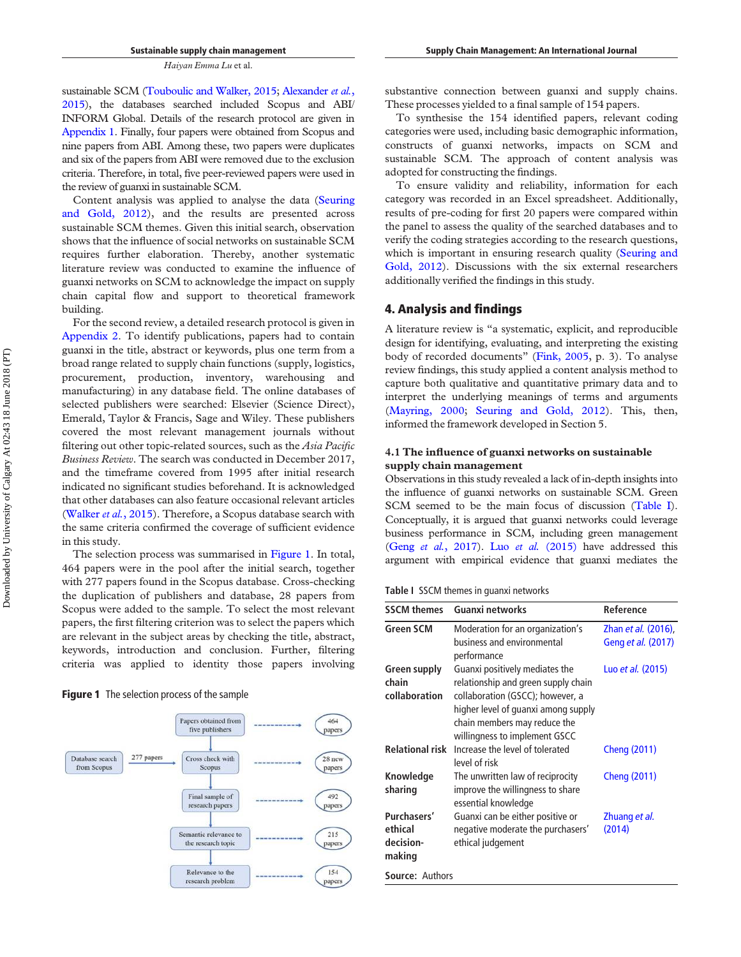sustainable SCM [\(Touboulic and Walker, 2015;](#page-17-1) [Alexander](#page-13-2) *et al.*, [2015\)](#page-13-2), the databases searched included Scopus and ABI/ INFORM Global. Details of the research protocol are given in [Appendix 1](#page-19-0). Finally, four papers were obtained from Scopus and nine papers from ABI. Among these, two papers were duplicates and six of the papers from ABI were removed due to the exclusion criteria. Therefore, in total, five peer-reviewed papers were used in the review of guanxi in sustainable SCM.

Content analysis was applied to analyse the data [\(Seuring](#page-16-7)  [and Gold, 2012\)](#page-16-7), and the results are presented across sustainable SCM themes. Given this initial search, observation shows that the influence of social networks on sustainable SCM requires further elaboration. Thereby, another systematic literature review was conducted to examine the influence of guanxi networks on SCM to acknowledge the impact on supply chain capital flow and support to theoretical framework building.

For the second review, a detailed research protocol is given in [Appendix 2](#page-19-1). To identify publications, papers had to contain guanxi in the title, abstract or keywords, plus one term from a broad range related to supply chain functions (supply, logistics, procurement, production, inventory, warehousing and manufacturing) in any database field. The online databases of selected publishers were searched: Elsevier (Science Direct), Emerald, Taylor & Francis, Sage and Wiley. These publishers covered the most relevant management journals without filtering out other topic-related sources, such as the *Asia Pacific Business Review*. The search was conducted in December 2017, and the timeframe covered from 1995 after initial research indicated no significant studies beforehand. It is acknowledged that other databases can also feature occasional relevant articles [\(Walker](#page-17-9) *et al.*, 2015). Therefore, a Scopus database search with the same criteria confirmed the coverage of sufficient evidence in this study.

The selection process was summarised in [Figure 1.](#page-4-0) In total, 464 papers were in the pool after the initial search, together with 277 papers found in the Scopus database. Cross-checking the duplication of publishers and database, 28 papers from Scopus were added to the sample. To select the most relevant papers, the first filtering criterion was to select the papers which are relevant in the subject areas by checking the title, abstract, keywords, introduction and conclusion. Further, filtering criteria was applied to identity those papers involving

<span id="page-4-0"></span>



**Supply Chain Management: An International Journal** 

substantive connection between guanxi and supply chains. These processes yielded to a final sample of 154 papers.

To synthesise the 154 identified papers, relevant coding categories were used, including basic demographic information, constructs of guanxi networks, impacts on SCM and sustainable SCM. The approach of content analysis was adopted for constructing the findings.

To ensure validity and reliability, information for each category was recorded in an Excel spreadsheet. Additionally, results of pre-coding for first 20 papers were compared within the panel to assess the quality of the searched databases and to verify the coding strategies according to the research questions, which is important in ensuring research quality (Seuring and [Gold, 2012\)](#page-16-7). Discussions with the six external researchers additionally verified the findings in this study.

# **4. Analysis and findings**

A literature review is "a systematic, explicit, and reproducible design for identifying, evaluating, and interpreting the existing body of recorded documents" [\(Fink, 2005,](#page-15-11) p. 3). To analyse review findings, this study applied a content analysis method to capture both qualitative and quantitative primary data and to interpret the underlying meanings of terms and arguments [\(Mayring, 2000](#page-16-8); [Seuring and Gold, 2012](#page-16-7)). This, then, informed the framework developed in Section 5.

# **4.1 The influence of guanxi networks on sustainable supply chain management**

Observations in this study revealed a lack of in-depth insights into the influence of guanxi networks on sustainable SCM. Green SCM seemed to be the main focus of discussion [\(Table I](#page-4-1)). Conceptually, it is argued that guanxi networks could leverage business performance in SCM, including green management (Geng *et al.*[, 2017\)](#page-15-12). Luo *et al.* [\(2015\)](#page-16-9) have addressed this argument with empirical evidence that guanxi mediates the

<span id="page-4-1"></span>**Table I** SSCM themes in guanxi networks

| <b>SSCM themes</b>                            | <b>Guanxi networks</b>                                                                                                                                                                                            | Reference                                        |
|-----------------------------------------------|-------------------------------------------------------------------------------------------------------------------------------------------------------------------------------------------------------------------|--------------------------------------------------|
| <b>Green SCM</b>                              | Moderation for an organization's<br>business and environmental<br>performance                                                                                                                                     | Zhan et al. (2016),<br>Geng <i>et al.</i> (2017) |
| Green supply<br>chain<br>collaboration        | Guanxi positively mediates the<br>relationship and green supply chain<br>collaboration (GSCC); however, a<br>higher level of guanxi among supply<br>chain members may reduce the<br>willingness to implement GSCC | Luo et al. (2015)                                |
| <b>Relational risk</b>                        | Increase the level of tolerated<br>level of risk                                                                                                                                                                  | <b>Cheng (2011)</b>                              |
| Knowledge<br>sharing                          | The unwritten law of reciprocity<br>improve the willingness to share<br>essential knowledge                                                                                                                       | <b>Cheng (2011)</b>                              |
| Purchasers'<br>ethical<br>decision-<br>making | Guanxi can be either positive or<br>negative moderate the purchasers'<br>ethical judgement                                                                                                                        | Zhuang et al.<br>(2014)                          |
| <b>Source: Authors</b>                        |                                                                                                                                                                                                                   |                                                  |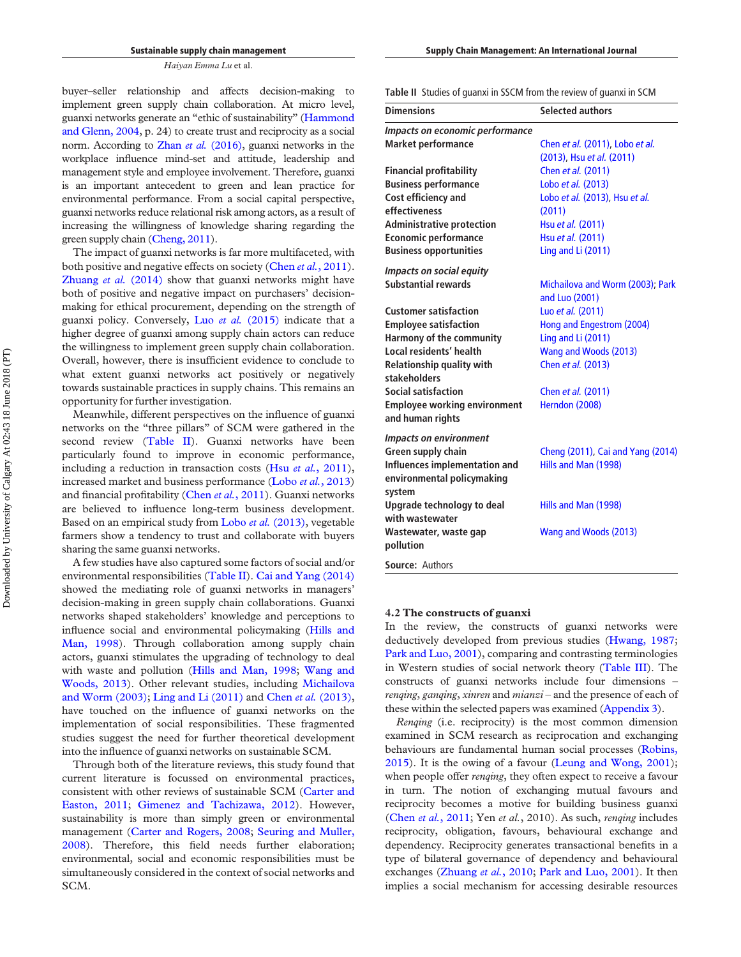buyer–seller relationship and affects decision-making to implement green supply chain collaboration. At micro level, guanxi networks generate an "ethic of sustainability" [\(Hammond](#page-15-13)  [and Glenn, 2004,](#page-15-13) p. 24) to create trust and reciprocity as a social norm. According to Zhan *et al.* [\(2016\)](#page-17-10), guanxi networks in the workplace influence mind-set and attitude, leadership and management style and employee involvement. Therefore, guanxi is an important antecedent to green and lean practice for environmental performance. From a social capital perspective, guanxi networks reduce relational risk among actors, as a result of increasing the willingness of knowledge sharing regarding the green supply chain [\(Cheng, 2011](#page-14-5)).

The impact of guanxi networks is far more multifaceted, with both positive and negative effects on society [\(Chen](#page-14-3) *et al.*, 2011). [Zhuang](#page-17-11) *et al.* (2014) show that guanxi networks might have both of positive and negative impact on purchasers' decisionmaking for ethical procurement, depending on the strength of guanxi policy. Conversely, Luo *et al.* [\(2015\)](#page-16-9) indicate that a higher degree of guanxi among supply chain actors can reduce the willingness to implement green supply chain collaboration. Overall, however, there is insufficient evidence to conclude to what extent guanxi networks act positively or negatively towards sustainable practices in supply chains. This remains an opportunity for further investigation.

Meanwhile, different perspectives on the influence of guanxi networks on the "three pillars" of SCM were gathered in the second review ([Table II](#page-5-0)). Guanxi networks have been particularly found to improve in economic performance, including a reduction in transaction costs (Hsu *et al.*[, 2011\)](#page-15-14), increased market and business performance (Lobo *et al.*[, 2013\)](#page-16-10) and financial profitability (Chen *et al.*[, 2011](#page-14-3)). Guanxi networks are believed to influence long-term business development. Based on an empirical study from Lobo *et al.* [\(2013\)](#page-16-10), vegetable farmers show a tendency to trust and collaborate with buyers sharing the same guanxi networks.

A few studies have also captured some factors of social and/or environmental responsibilities [\(Table II\)](#page-5-0). [Cai and Yang \(2014\)](#page-14-11)  showed the mediating role of guanxi networks in managers' decision-making in green supply chain collaborations. Guanxi networks shaped stakeholders' knowledge and perceptions to influence social and environmental policymaking ([Hills and](#page-15-15)  [Man, 1998\)](#page-15-15). Through collaboration among supply chain actors, guanxi stimulates the upgrading of technology to deal with waste and pollution [\(Hills and Man, 1998](#page-15-15); [Wang and](#page-17-12)  [Woods, 2013](#page-17-12)). Other relevant studies, including [Michailova](#page-16-11)  [and Worm \(2003\)](#page-16-11); [Ling and Li \(2011\)](#page-16-12) and Chen *et al.* [\(2013\)](#page-14-14), have touched on the influence of guanxi networks on the implementation of social responsibilities. These fragmented studies suggest the need for further theoretical development into the influence of guanxi networks on sustainable SCM.

Through both of the literature reviews, this study found that current literature is focussed on environmental practices, consistent with other reviews of sustainable SCM ([Carter and](#page-14-7)  [Easton, 2011](#page-14-7); [Gimenez and Tachizawa, 2012\)](#page-15-9). However, sustainability is more than simply green or environmental management ([Carter and Rogers, 2008](#page-14-12); [Seuring and Muller,](#page-16-2)  [2008\)](#page-16-2). Therefore, this field needs further elaboration; environmental, social and economic responsibilities must be simultaneously considered in the context of social networks and SCM.

<span id="page-5-0"></span>**Table II** Studies of guanxi in SSCM from the review of guanxi in SCM

| <b>Dimensions</b>                                                     | <b>Selected authors</b>                            |
|-----------------------------------------------------------------------|----------------------------------------------------|
| Impacts on economic performance                                       |                                                    |
| <b>Market performance</b>                                             | Chen et al. (2011), Lobo et al.                    |
|                                                                       | (2013), Hsu et al. (2011)                          |
| <b>Financial profitability</b>                                        | Chen et al. (2011)                                 |
| <b>Business performance</b>                                           | Lobo et al. (2013)                                 |
| Cost efficiency and                                                   | Lobo et al. (2013), Hsu et al.                     |
| effectiveness                                                         | (2011)                                             |
| <b>Administrative protection</b>                                      | Hsu et al. (2011)                                  |
| <b>Economic performance</b>                                           | Hsu et al. (2011)                                  |
| <b>Business opportunities</b>                                         | Ling and Li (2011)                                 |
| Impacts on social equity                                              |                                                    |
| <b>Substantial rewards</b>                                            | Michailova and Worm (2003); Park<br>and Luo (2001) |
| <b>Customer satisfaction</b>                                          | Luo et al. (2011)                                  |
| <b>Employee satisfaction</b>                                          | Hong and Engestrom (2004)                          |
| Harmony of the community                                              | Ling and Li (2011)                                 |
| Local residents' health                                               | <b>Wang and Woods (2013)</b>                       |
| <b>Relationship quality with</b><br>stakeholders                      | Chen et al. (2013)                                 |
| <b>Social satisfaction</b>                                            | Chen et al. (2011)                                 |
| <b>Employee working environment</b><br>and human rights               | Herndon (2008)                                     |
| <b>Impacts on environment</b>                                         |                                                    |
| Green supply chain                                                    | Cheng (2011), Cai and Yang (2014)                  |
| Influences implementation and<br>environmental policymaking<br>system | Hills and Man (1998)                               |
| Upgrade technology to deal<br>with wastewater                         | Hills and Man (1998)                               |
| Wastewater, waste gap<br>pollution                                    | Wang and Woods (2013)                              |
| Source: Authors                                                       |                                                    |

### **4.2 The constructs of guanxi**

In the review, the constructs of guanxi networks were deductively developed from previous studies [\(Hwang, 1987](#page-15-16); [Park and Luo, 2001](#page-16-4)), comparing and contrasting terminologies in Western studies of social network theory [\(Table III\)](#page-6-0). The constructs of guanxi networks include four dimensions – *renqing*, *ganqing*, *xinren* and *mianzi* – and the presence of each of these within the selected papers was examined ([Appendix 3](#page-20-0)).

*Renqing* (i.e. reciprocity) is the most common dimension examined in SCM research as reciprocation and exchanging behaviours are fundamental human social processes [\(Robins,](#page-16-13)  [2015\)](#page-16-13). It is the owing of a favour ([Leung and Wong, 2001\)](#page-16-14); when people offer *renqing*, they often expect to receive a favour in turn. The notion of exchanging mutual favours and reciprocity becomes a motive for building business guanxi (Chen *et al.*[, 2011](#page-14-3); Yen *et al.*, 2010). As such, *renqing* includes reciprocity, obligation, favours, behavioural exchange and dependency. Reciprocity generates transactional benefits in a type of bilateral governance of dependency and behavioural exchanges [\(Zhuang](#page-17-13) *et al.*, 2010; [Park and Luo, 2001\)](#page-16-4). It then implies a social mechanism for accessing desirable resources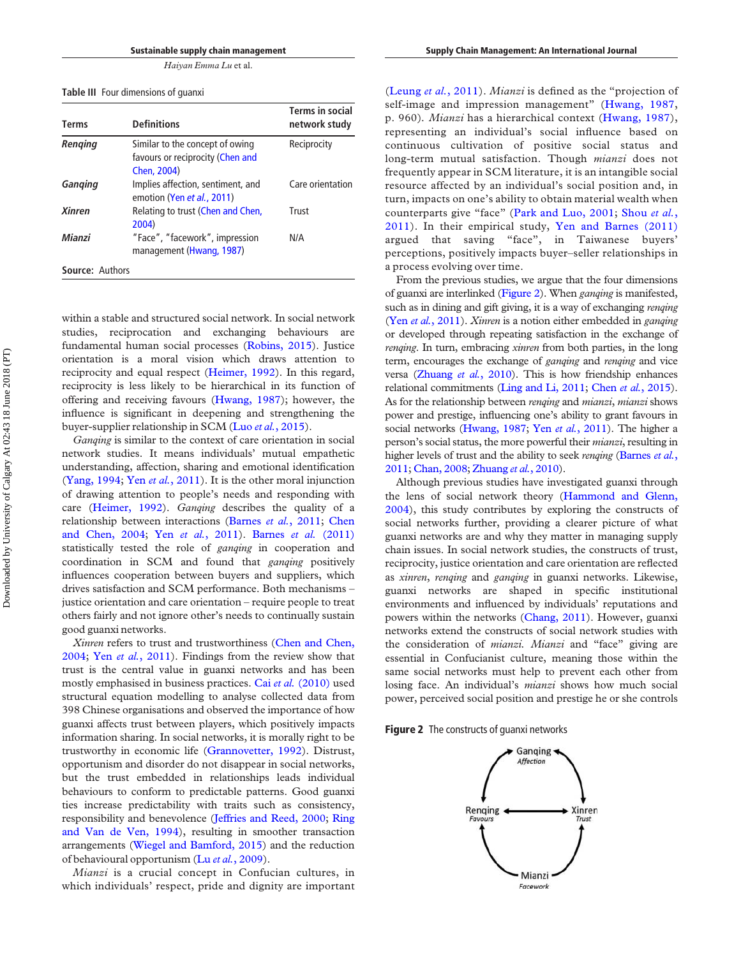<span id="page-6-0"></span>**Table III** Four dimensions of guanxi

| <b>Terms</b>    | <b>Definitions</b>                                                                 | <b>Terms in social</b><br>network study |
|-----------------|------------------------------------------------------------------------------------|-----------------------------------------|
| <b>Renging</b>  | Similar to the concept of owing<br>favours or reciprocity (Chen and<br>Chen. 2004) | Reciprocity                             |
| Ganging         | Implies affection, sentiment, and<br>emotion (Yen et al., 2011)                    | Care orientation                        |
| <b>Xinren</b>   | Relating to trust (Chen and Chen,<br>2004)                                         | Trust                                   |
| Mianzi          | "Face", "facework", impression<br>management (Hwang, 1987)                         | N/A                                     |
| Source: Authors |                                                                                    |                                         |

within a stable and structured social network. In social network studies, reciprocation and exchanging behaviours are fundamental human social processes [\(Robins, 2015\)](#page-16-13). Justice orientation is a moral vision which draws attention to reciprocity and equal respect [\(Heimer, 1992](#page-15-6)). In this regard, reciprocity is less likely to be hierarchical in its function of offering and receiving favours [\(Hwang, 1987](#page-15-16)); however, the influence is significant in deepening and strengthening the buyer-supplier relationship in SCM (Luo *et al.*[, 2015\)](#page-16-9).

*Ganqing* is similar to the context of care orientation in social network studies. It means individuals' mutual empathetic understanding, affection, sharing and emotional identification [\(Yang, 1994](#page-17-2); Yen *et al.*[, 2011\)](#page-17-14). It is the other moral injunction of drawing attention to people's needs and responding with care [\(Heimer, 1992\)](#page-15-6). *Ganqing* describes the quality of a relationship between interactions ([Barnes](#page-13-3) *et al.*, 2011; [Chen](#page-14-15)  [and Chen, 2004](#page-14-15); Yen *et al.*[, 2011](#page-17-14)). [Barnes](#page-13-3) *et al.* (2011) statistically tested the role of *ganqing* in cooperation and coordination in SCM and found that *ganqing* positively influences cooperation between buyers and suppliers, which drives satisfaction and SCM performance. Both mechanisms – justice orientation and care orientation – require people to treat others fairly and not ignore other's needs to continually sustain good guanxi networks.

*Xinren* refers to trust and trustworthiness ([Chen and Chen,](#page-14-15)  [2004;](#page-14-15) Yen *et al.*[, 2011\)](#page-17-14). Findings from the review show that trust is the central value in guanxi networks and has been mostly emphasised in business practices. Cai *et al.* [\(2010\)](#page-14-4) used structural equation modelling to analyse collected data from 398 Chinese organisations and observed the importance of how guanxi affects trust between players, which positively impacts information sharing. In social networks, it is morally right to be trustworthy in economic life ([Grannovetter, 1992](#page-15-7)). Distrust, opportunism and disorder do not disappear in social networks, but the trust embedded in relationships leads individual behaviours to conform to predictable patterns. Good guanxi ties increase predictability with traits such as consistency, responsibility and benevolence [\(Jeffries and Reed, 2000](#page-15-19); [Ring](#page-16-16)  [and Van de Ven, 1994](#page-16-16)), resulting in smoother transaction arrangements ([Wiegel and Bamford, 2015\)](#page-17-15) and the reduction of behavioural opportunism (Lu *et al.*[, 2009](#page-16-17)).

*Mianzi* is a crucial concept in Confucian cultures, in which individuals' respect, pride and dignity are important

([Leung](#page-16-18) *et al.*, 2011). *Mianzi* is defined as the "projection of self-image and impression management" ([Hwang, 1987](#page-15-16), p. 960)*. Mianzi* has a hierarchical context [\(Hwang, 1987\)](#page-15-16), representing an individual's social influence based on continuous cultivation of positive social status and long-term mutual satisfaction. Though *mianzi* does not frequently appear in SCM literature, it is an intangible social resource affected by an individual's social position and, in turn, impacts on one's ability to obtain material wealth when counterparts give "face" ([Park and Luo, 2001;](#page-16-4) [Shou](#page-16-19) *et al.*, [2011\)](#page-16-19). In their empirical study, [Yen and Barnes \(2011\)](#page-17-16) argued that saving "face", in Taiwanese buyers' perceptions, positively impacts buyer–seller relationships in a process evolving over time.

From the previous studies, we argue that the four dimensions of guanxi are interlinked ([Figure 2](#page-6-1)). When *ganqing* is manifested, such as in dining and gift giving, it is a way of exchanging *renqing*  (Yen *et al.*[, 2011](#page-17-14)). *Xinren* is a notion either embedded in *ganqing*  or developed through repeating satisfaction in the exchange of *renqing*. In turn, embracing *xinren* from both parties, in the long term, encourages the exchange of *ganqing* and *renqing* and vice versa [\(Zhuang](#page-17-13) *et al.*, 2010). This is how friendship enhances relational commitments [\(Ling and Li, 2011;](#page-16-12) Chen *et al.*[, 2015](#page-14-16)). As for the relationship between *renqing* and *mianzi*, *mianzi* shows power and prestige, influencing one's ability to grant favours in social networks [\(Hwang, 1987](#page-15-16); Yen *et al.*[, 2011\)](#page-17-14). The higher a person's social status, the more powerful their *mianzi*, resulting in higher levels of trust and the ability to seek *renqing* [\(Barnes](#page-13-3) *et al.*, [2011](#page-13-3); [Chan, 2008;](#page-14-17) [Zhuang](#page-17-13) *et al.*, 2010).

Although previous studies have investigated guanxi through the lens of social network theory ([Hammond and Glenn,](#page-15-13)  [2004\)](#page-15-13), this study contributes by exploring the constructs of social networks further, providing a clearer picture of what guanxi networks are and why they matter in managing supply chain issues. In social network studies, the constructs of trust, reciprocity, justice orientation and care orientation are reflected as *xinren*, *renqing* and *ganqing* in guanxi networks. Likewise, guanxi networks are shaped in specific institutional environments and influenced by individuals' reputations and powers within the networks [\(Chang, 2011\)](#page-14-18). However, guanxi networks extend the constructs of social network studies with the consideration of *mianzi. Mianzi* and "face" giving are essential in Confucianist culture, meaning those within the same social networks must help to prevent each other from losing face. An individual's *mianzi* shows how much social power, perceived social position and prestige he or she controls

<span id="page-6-1"></span>**Figure 2** The constructs of guanxi networks

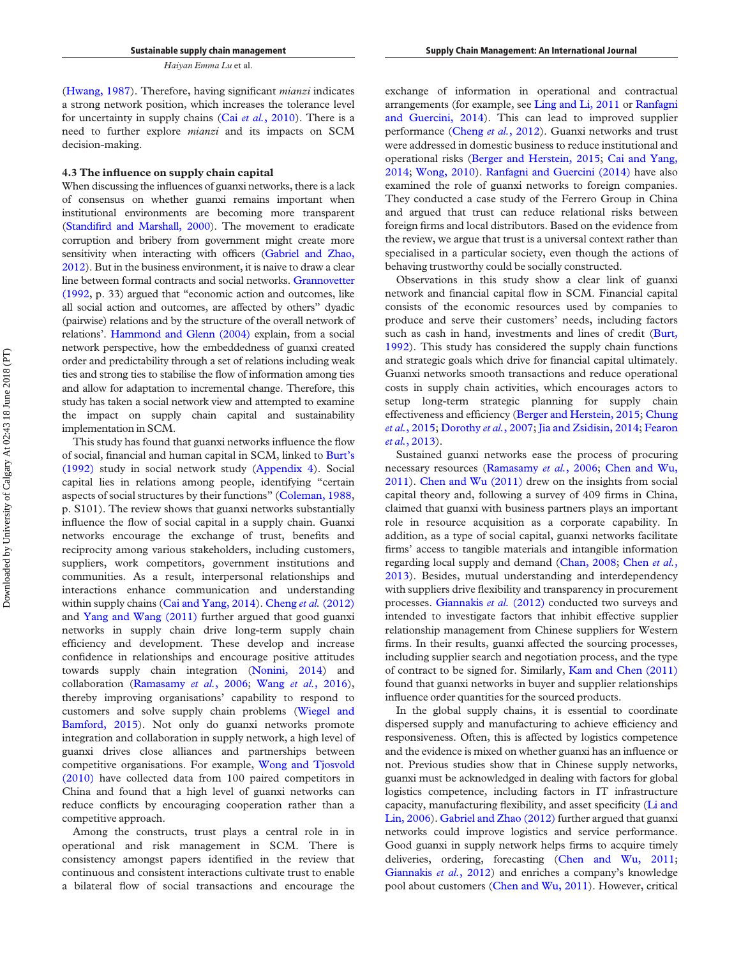[\(Hwang, 1987](#page-15-16)). Therefore, having significant *mianzi* indicates a strong network position, which increases the tolerance level for uncertainty in supply chains (Cai *et al.*[, 2010\)](#page-14-4). There is a need to further explore *mianzi* and its impacts on SCM decision-making.

### **4.3 The influence on supply chain capital**

When discussing the influences of guanxi networks, there is a lack of consensus on whether guanxi remains important when institutional environments are becoming more transparent [\(Standifird and Marshall, 2000\)](#page-16-20). The movement to eradicate corruption and bribery from government might create more sensitivity when interacting with officers [\(Gabriel and Zhao,](#page-15-20)  [2012](#page-15-20)). But in the business environment, it is naive to draw a clear line between formal contracts and social networks. [Grannovetter](#page-15-7)  [\(1992](#page-15-7), p. 33) argued that "economic action and outcomes, like all social action and outcomes, are affected by others" dyadic (pairwise) relations and by the structure of the overall network of relations'. [Hammond and Glenn \(2004\)](#page-15-13) explain, from a social network perspective, how the embeddedness of guanxi created order and predictability through a set of relations including weak ties and strong ties to stabilise the flow of information among ties and allow for adaptation to incremental change. Therefore, this study has taken a social network view and attempted to examine the impact on supply chain capital and sustainability implementation in SCM.

This study has found that guanxi networks influence the flow of social, financial and human capital in SCM, linked to [Burt's](#page-14-19)  [\(1992\)](#page-14-19) study in social network study ([Appendix 4\)](#page-21-0). Social capital lies in relations among people, identifying "certain aspects of social structures by their functions" ([Coleman, 1988](#page-15-8), p. S101). The review shows that guanxi networks substantially influence the flow of social capital in a supply chain. Guanxi networks encourage the exchange of trust, benefits and reciprocity among various stakeholders, including customers, suppliers, work competitors, government institutions and communities. As a result, interpersonal relationships and interactions enhance communication and understanding within supply chains [\(Cai and Yang, 2014\)](#page-14-11). [Cheng](#page-14-10) *et al.* (2012) and [Yang and Wang \(2011\)](#page-17-5) further argued that good guanxi networks in supply chain drive long-term supply chain efficiency and development. These develop and increase confidence in relationships and encourage positive attitudes towards supply chain integration [\(Nonini, 2014](#page-16-21)) and collaboration ([Ramasamy](#page-16-22) *et al.*, 2006; Wang *et al.*[, 2016\)](#page-17-17), thereby improving organisations' capability to respond to customers and solve supply chain problems [\(Wiegel and](#page-17-15)  [Bamford, 2015\)](#page-17-15). Not only do guanxi networks promote integration and collaboration in supply network, a high level of guanxi drives close alliances and partnerships between competitive organisations. For example, [Wong and Tjosvold](#page-17-18)  [\(2010\)](#page-17-18) have collected data from 100 paired competitors in China and found that a high level of guanxi networks can reduce conflicts by encouraging cooperation rather than a competitive approach.

Among the constructs, trust plays a central role in in operational and risk management in SCM. There is consistency amongst papers identified in the review that continuous and consistent interactions cultivate trust to enable a bilateral flow of social transactions and encourage the exchange of information in operational and contractual arrangements (for example, see [Ling and Li, 2011](#page-16-12) or [Ranfagni](#page-16-23)  [and Guercini, 2014](#page-16-23)). This can lead to improved supplier performance [\(Cheng](#page-14-10) *et al.*, 2012). Guanxi networks and trust were addressed in domestic business to reduce institutional and operational risks [\(Berger and Herstein, 2015](#page-14-20); [Cai and Yang,](#page-14-11)  [2014;](#page-14-11) [Wong, 2010](#page-17-19)). [Ranfagni and Guercini \(2014\)](#page-16-23) have also examined the role of guanxi networks to foreign companies. They conducted a case study of the Ferrero Group in China and argued that trust can reduce relational risks between foreign firms and local distributors. Based on the evidence from the review, we argue that trust is a universal context rather than specialised in a particular society, even though the actions of behaving trustworthy could be socially constructed.

Observations in this study show a clear link of guanxi network and financial capital flow in SCM. Financial capital consists of the economic resources used by companies to produce and serve their customers' needs, including factors such as cash in hand, investments and lines of credit (Burt, [1992\)](#page-14-19). This study has considered the supply chain functions and strategic goals which drive for financial capital ultimately. Guanxi networks smooth transactions and reduce operational costs in supply chain activities, which encourages actors to setup long-term strategic planning for supply chain effectiveness and efficiency [\(Berger and Herstein, 2015;](#page-14-20) [Chung](#page-14-21)  *et al.*[, 2015](#page-14-21); [Dorothy](#page-15-21) *et al.*, 2007; [Jia and Zsidisin, 2014;](#page-15-22) [Fearon](#page-15-23)  *et al.*[, 2013](#page-15-23)).

Sustained guanxi networks ease the process of procuring necessary resources [\(Ramasamy](#page-16-22) *et al.*, 2006; [Chen and Wu,](#page-14-22)  [2011\)](#page-14-22). [Chen and Wu \(2011\)](#page-14-22) drew on the insights from social capital theory and, following a survey of 409 firms in China, claimed that guanxi with business partners plays an important role in resource acquisition as a corporate capability. In addition, as a type of social capital, guanxi networks facilitate firms' access to tangible materials and intangible information regarding local supply and demand ([Chan, 2008](#page-14-17); [Chen](#page-14-14) *et al.*, [2013\)](#page-14-14). Besides, mutual understanding and interdependency with suppliers drive flexibility and transparency in procurement processes. [Giannakis](#page-15-3) *et al.* (2012) conducted two surveys and intended to investigate factors that inhibit effective supplier relationship management from Chinese suppliers for Western firms. In their results, guanxi affected the sourcing processes, including supplier search and negotiation process, and the type of contract to be signed for. Similarly, [Kam and Chen \(2011\)](#page-15-24)  found that guanxi networks in buyer and supplier relationships influence order quantities for the sourced products.

In the global supply chains, it is essential to coordinate dispersed supply and manufacturing to achieve efficiency and responsiveness. Often, this is affected by logistics competence and the evidence is mixed on whether guanxi has an influence or not. Previous studies show that in Chinese supply networks, guanxi must be acknowledged in dealing with factors for global logistics competence, including factors in IT infrastructure capacity, manufacturing flexibility, and asset specificity ([Li and](#page-16-24)  [Lin, 2006](#page-16-24)). [Gabriel and Zhao \(2012\)](#page-15-20) further argued that guanxi networks could improve logistics and service performance. Good guanxi in supply network helps firms to acquire timely deliveries, ordering, forecasting [\(Chen and Wu, 2011](#page-14-22); [Giannakis](#page-15-3) *et al.*, 2012) and enriches a company's knowledge pool about customers [\(Chen and Wu, 2011](#page-14-22)). However, critical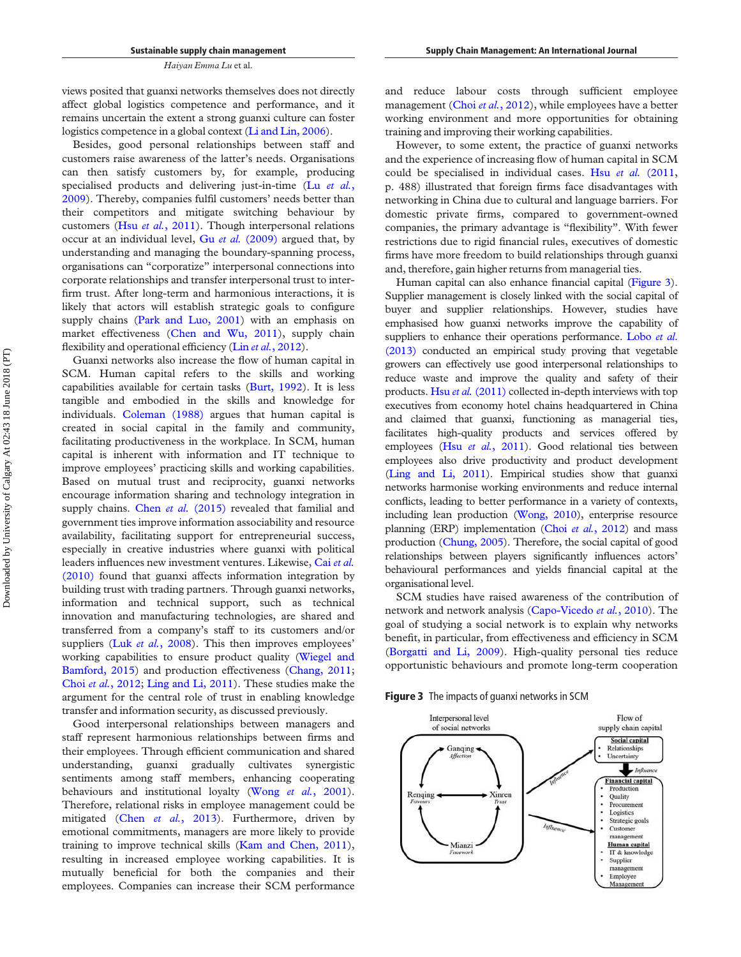views posited that guanxi networks themselves does not directly affect global logistics competence and performance, and it remains uncertain the extent a strong guanxi culture can foster logistics competence in a global context ([Li and Lin, 2006](#page-16-24)).

Besides, good personal relationships between staff and customers raise awareness of the latter's needs. Organisations can then satisfy customers by, for example, producing specialised products and delivering just-in-time (Lu *[et al.](#page-16-17)*, [2009\)](#page-16-17). Thereby, companies fulfil customers' needs better than their competitors and mitigate switching behaviour by customers (Hsu *et al.*[, 2011](#page-15-14)). Though interpersonal relations occur at an individual level, Gu *et al.* [\(2009\)](#page-15-25) argued that, by understanding and managing the boundary-spanning process, organisations can "corporatize" interpersonal connections into corporate relationships and transfer interpersonal trust to interfirm trust. After long-term and harmonious interactions, it is likely that actors will establish strategic goals to configure supply chains [\(Park and Luo, 2001](#page-16-4)) with an emphasis on market effectiveness [\(Chen and Wu, 2011\)](#page-14-22), supply chain flexibility and operational efficiency (Lin *et al.*[, 2012](#page-16-25)).

Guanxi networks also increase the flow of human capital in SCM. Human capital refers to the skills and working capabilities available for certain tasks [\(Burt, 1992\)](#page-14-19). It is less tangible and embodied in the skills and knowledge for individuals. [Coleman \(1988\)](#page-15-8) argues that human capital is created in social capital in the family and community, facilitating productiveness in the workplace. In SCM, human capital is inherent with information and IT technique to improve employees' practicing skills and working capabilities. Based on mutual trust and reciprocity, guanxi networks encourage information sharing and technology integration in supply chains. Chen *et al.* [\(2015\)](#page-14-16) revealed that familial and government ties improve information associability and resource availability, facilitating support for entrepreneurial success, especially in creative industries where guanxi with political leaders influences new investment ventures. Likewise, Cai *[et al.](#page-14-4)*  [\(2010\)](#page-14-4) found that guanxi affects information integration by building trust with trading partners. Through guanxi networks, information and technical support, such as technical innovation and manufacturing technologies, are shared and transferred from a company's staff to its customers and/or suppliers (Luk *et al.*[, 2008\)](#page-16-26). This then improves employees' working capabilities to ensure product quality [\(Wiegel and](#page-17-15)  [Bamford, 2015](#page-17-15)) and production effectiveness ([Chang, 2011](#page-14-18); Choi *et al.*[, 2012;](#page-14-23) [Ling and Li, 2011](#page-16-12)). These studies make the argument for the central role of trust in enabling knowledge transfer and information security, as discussed previously.

Good interpersonal relationships between managers and staff represent harmonious relationships between firms and their employees. Through efficient communication and shared understanding, guanxi gradually cultivates synergistic sentiments among staff members, enhancing cooperating behaviours and institutional loyalty (Wong *et al.*[, 2001\)](#page-17-20). Therefore, relational risks in employee management could be mitigated (Chen *et al.*[, 2013](#page-14-14)). Furthermore, driven by emotional commitments, managers are more likely to provide training to improve technical skills [\(Kam and Chen, 2011\)](#page-15-24), resulting in increased employee working capabilities. It is mutually beneficial for both the companies and their employees. Companies can increase their SCM performance and reduce labour costs through sufficient employee management (Choi *et al.*[, 2012\)](#page-14-23), while employees have a better working environment and more opportunities for obtaining training and improving their working capabilities.

However, to some extent, the practice of guanxi networks and the experience of increasing flow of human capital in SCM could be specialised in individual cases. Hsu *[et al.](#page-15-14)* (2011, p. 488) illustrated that foreign firms face disadvantages with networking in China due to cultural and language barriers. For domestic private firms, compared to government-owned companies, the primary advantage is "flexibility". With fewer restrictions due to rigid financial rules, executives of domestic firms have more freedom to build relationships through guanxi and, therefore, gain higher returns from managerial ties.

Human capital can also enhance financial capital ([Figure 3](#page-8-0)). Supplier management is closely linked with the social capital of buyer and supplier relationships. However, studies have emphasised how guanxi networks improve the capability of suppliers to enhance their operations performance. [Lobo](#page-16-10) *et al*. [\(2013\)](#page-16-10) conducted an empirical study proving that vegetable growers can effectively use good interpersonal relationships to reduce waste and improve the quality and safety of their products. Hsu *et al.* [\(2011\)](#page-15-14) collected in-depth interviews with top executives from economy hotel chains headquartered in China and claimed that guanxi, functioning as managerial ties, facilitates high-quality products and services offered by employees (Hsu *et al.*[, 2011\)](#page-15-14). Good relational ties between employees also drive productivity and product development [\(Ling and Li, 2011](#page-16-12)). Empirical studies show that guanxi networks harmonise working environments and reduce internal conflicts, leading to better performance in a variety of contexts, including lean production ([Wong, 2010\)](#page-17-19), enterprise resource planning (ERP) implementation (Choi *et al.*[, 2012](#page-14-23)) and mass production [\(Chung, 2005](#page-14-24)). Therefore, the social capital of good relationships between players significantly influences actors' behavioural performances and yields financial capital at the organisational level.

SCM studies have raised awareness of the contribution of network and network analysis [\(Capo-Vicedo](#page-14-25) *et al.*, 2010). The goal of studying a social network is to explain why networks benefit, in particular, from effectiveness and efficiency in SCM [\(Borgatti and Li, 2009\)](#page-14-6). High-quality personal ties reduce opportunistic behaviours and promote long-term cooperation

<span id="page-8-0"></span>**Figure 3** The impacts of guanxi networks in SCM

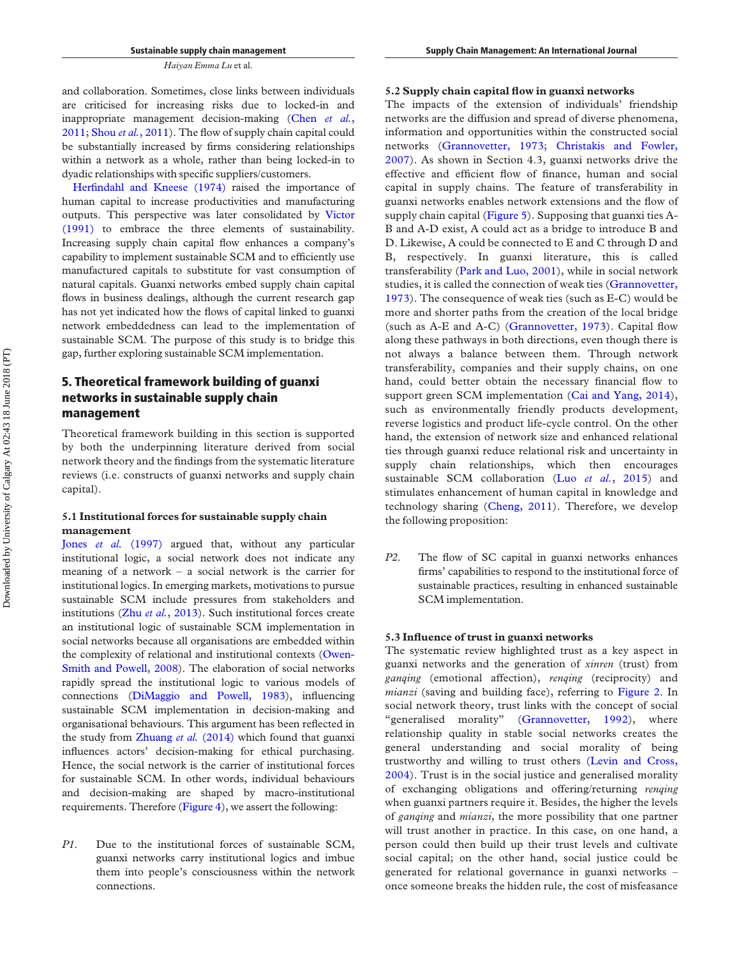and collaboration. Sometimes, close links between individuals are criticised for increasing risks due to locked-in and inappropriate management decision-making [\(Chen](#page-14-3) *et al.*, [2011;](#page-14-3) Shou *et al.*[, 2011](#page-16-19)). The flow of supply chain capital could be substantially increased by firms considering relationships within a network as a whole, rather than being locked-in to dyadic relationships with specific suppliers/customers.

[Herfindahl and Kneese \(1974\)](#page-15-26) raised the importance of human capital to increase productivities and manufacturing outputs. This perspective was later consolidated by [Victor](#page-17-0)  [\(1991\)](#page-17-0) to embrace the three elements of sustainability. Increasing supply chain capital flow enhances a company's capability to implement sustainable SCM and to efficiently use manufactured capitals to substitute for vast consumption of natural capitals. Guanxi networks embed supply chain capital flows in business dealings, although the current research gap has not yet indicated how the flows of capital linked to guanxi network embeddedness can lead to the implementation of sustainable SCM. The purpose of this study is to bridge this gap, further exploring sustainable SCM implementation.

# **5. Theoretical framework building of guanxi networks in sustainable supply chain management**

Theoretical framework building in this section is supported by both the underpinning literature derived from social network theory and the findings from the systematic literature reviews (i.e. constructs of guanxi networks and supply chain capital).

# **5.1 Institutional forces for sustainable supply chain management**

Jones *et al.* [\(1997\)](#page-15-27) argued that, without any particular institutional logic, a social network does not indicate any meaning of a network – a social network is the carrier for institutional logics. In emerging markets, motivations to pursue sustainable SCM include pressures from stakeholders and institutions (Zhu *et al.*[, 2013\)](#page-17-6). Such institutional forces create an institutional logic of sustainable SCM implementation in social networks because all organisations are embedded within the complexity of relational and institutional contexts ([Owen-](#page-16-27)[Smith and Powell, 2008\)](#page-16-27). The elaboration of social networks rapidly spread the institutional logic to various models of connections ([DiMaggio and Powell, 1983\)](#page-15-28), influencing sustainable SCM implementation in decision-making and organisational behaviours. This argument has been reflected in the study from [Zhuang](#page-17-11) *et al.* (2014) which found that guanxi influences actors' decision-making for ethical purchasing. Hence, the social network is the carrier of institutional forces for sustainable SCM. In other words, individual behaviours and decision-making are shaped by macro-institutional requirements. Therefore [\(Figure 4](#page-10-0)), we assert the following:

*P1*. Due to the institutional forces of sustainable SCM, guanxi networks carry institutional logics and imbue them into people's consciousness within the network connections.

# **5.2 Supply chain capital flow in guanxi networks**

The impacts of the extension of individuals' friendship networks are the diffusion and spread of diverse phenomena, information and opportunities within the constructed social networks ([Grannovetter, 1973;](#page-15-5) [Christakis and Fowler,](#page-14-26) [2007](#page-14-26)). As shown in Section 4.3, guanxi networks drive the effective and efficient flow of finance, human and social capital in supply chains. The feature of transferability in guanxi networks enables network extensions and the flow of supply chain capital ([Figure 5\)](#page-10-1). Supposing that guanxi ties A-B and A-D exist, A could act as a bridge to introduce B and D. Likewise, A could be connected to E and C through D and B, respectively. In guanxi literature, this is called transferability [\(Park and Luo, 2001](#page-16-4)), while in social network studies, it is called the connection of weak ties ([Grannovetter,](#page-15-5) [1973](#page-15-5)). The consequence of weak ties (such as E-C) would be more and shorter paths from the creation of the local bridge (such as A-E and A-C) ([Grannovetter, 1973\)](#page-15-5). Capital flow along these pathways in both directions, even though there is not always a balance between them. Through network transferability, companies and their supply chains, on one hand, could better obtain the necessary financial flow to support green SCM implementation ([Cai and Yang, 2014\)](#page-14-11), such as environmentally friendly products development, reverse logistics and product life-cycle control. On the other hand, the extension of network size and enhanced relational ties through guanxi reduce relational risk and uncertainty in supply chain relationships, which then encourages sustainable SCM collaboration (Luo *et al.*[, 2015](#page-16-9)) and stimulates enhancement of human capital in knowledge and technology sharing [\(Cheng, 2011\)](#page-14-5). Therefore, we develop the following proposition:

*P2*. The flow of SC capital in guanxi networks enhances firms' capabilities to respond to the institutional force of sustainable practices, resulting in enhanced sustainable SCM implementation.

## **5.3 Influence of trust in guanxi networks**

The systematic review highlighted trust as a key aspect in guanxi networks and the generation of *xinren* (trust) from *ganqing* (emotional affection), *renqing* (reciprocity) and *mianzi* (saving and building face), referring to [Figure 2](#page-6-1). In social network theory, trust links with the concept of social<br>"generalised morality" (Grannovetter, 1992), where ([Grannovetter, 1992](#page-15-7)), where relationship quality in stable social networks creates the general understanding and social morality of being trustworthy and willing to trust others ([Levin and Cross,](#page-16-28) [2004](#page-16-28)). Trust is in the social justice and generalised morality of exchanging obligations and offering/returning *renqing*  when guanxi partners require it. Besides, the higher the levels of *ganqing* and *mianzi*, the more possibility that one partner will trust another in practice. In this case, on one hand, a person could then build up their trust levels and cultivate social capital; on the other hand, social justice could be generated for relational governance in guanxi networks – once someone breaks the hidden rule, the cost of misfeasance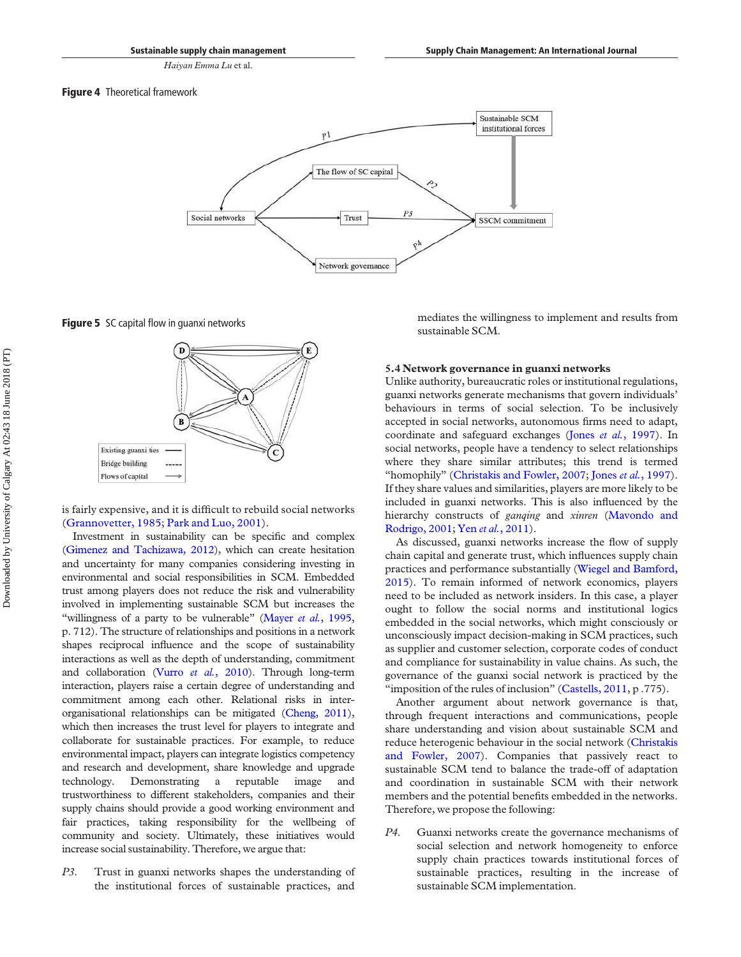

<span id="page-10-0"></span>

<span id="page-10-1"></span>**Figure 5** SC capital flow in guanxi networks



is fairly expensive, and it is difficult to rebuild social networks ([Grannovetter, 1985;](#page-15-29) [Park and Luo, 2001](#page-16-4)).

Investment in sustainability can be specific and complex [\(Gimenez and Tachizawa, 2012](#page-15-9)), which can create hesitation and uncertainty for many companies considering investing in environmental and social responsibilities in SCM. Embedded trust among players does not reduce the risk and vulnerability involved in implementing sustainable SCM but increases the "willingness of a party to be vulnerable" ([Mayer](#page-16-29) *et al.*, 1995, p. 712). The structure of relationships and positions in a network shapes reciprocal influence and the scope of sustainability interactions as well as the depth of understanding, commitment and collaboration (Vurro *et al.*[, 2010](#page-17-21)). Through long-term interaction, players raise a certain degree of understanding and commitment among each other. Relational risks in interorganisational relationships can be mitigated ([Cheng, 2011](#page-14-5)), which then increases the trust level for players to integrate and collaborate for sustainable practices. For example, to reduce environmental impact, players can integrate logistics competency and research and development, share knowledge and upgrade technology. Demonstrating a reputable image and trustworthiness to different stakeholders, companies and their supply chains should provide a good working environment and fair practices, taking responsibility for the wellbeing of community and society. Ultimately, these initiatives would increase social sustainability. Therefore, we argue that:

*P3*. Trust in guanxi networks shapes the understanding of the institutional forces of sustainable practices, and mediates the willingness to implement and results from sustainable SCM.

#### **5.4 Network governance in guanxi networks**

Unlike authority, bureaucratic roles or institutional regulations, guanxi networks generate mechanisms that govern individuals' behaviours in terms of social selection. To be inclusively accepted in social networks, autonomous firms need to adapt, coordinate and safeguard exchanges (Jones *et al.*[, 1997](#page-15-27)). In social networks, people have a tendency to select relationships where they share similar attributes; this trend is termed "homophily" [\(Christakis and Fowler, 2007](#page-14-26); Jones *et al.*[, 1997\)](#page-15-27). If they share values and similarities, players are more likely to be included in guanxi networks. This is also influenced by the hierarchy constructs of *ganqing* and *xinren* ([Mavondo and](#page-16-30)  [Rodrigo, 2001](#page-16-30); Yen *et al.*[, 2011\)](#page-17-14).

As discussed, guanxi networks increase the flow of supply chain capital and generate trust, which influences supply chain practices and performance substantially [\(Wiegel and Bamford,](#page-17-15)  [2015\)](#page-17-15). To remain informed of network economics, players need to be included as network insiders. In this case, a player ought to follow the social norms and institutional logics embedded in the social networks, which might consciously or unconsciously impact decision-making in SCM practices, such as supplier and customer selection, corporate codes of conduct and compliance for sustainability in value chains. As such, the governance of the guanxi social network is practiced by the "imposition of the rules of inclusion" [\(Castells, 2011](#page-14-27), p.775).

Another argument about network governance is that, through frequent interactions and communications, people share understanding and vision about sustainable SCM and reduce heterogenic behaviour in the social network (Christakis [and Fowler, 2007\)](#page-14-26). Companies that passively react to sustainable SCM tend to balance the trade-off of adaptation and coordination in sustainable SCM with their network members and the potential benefits embedded in the networks. Therefore, we propose the following:

*P4*. Guanxi networks create the governance mechanisms of social selection and network homogeneity to enforce supply chain practices towards institutional forces of sustainable practices, resulting in the increase of sustainable SCM implementation.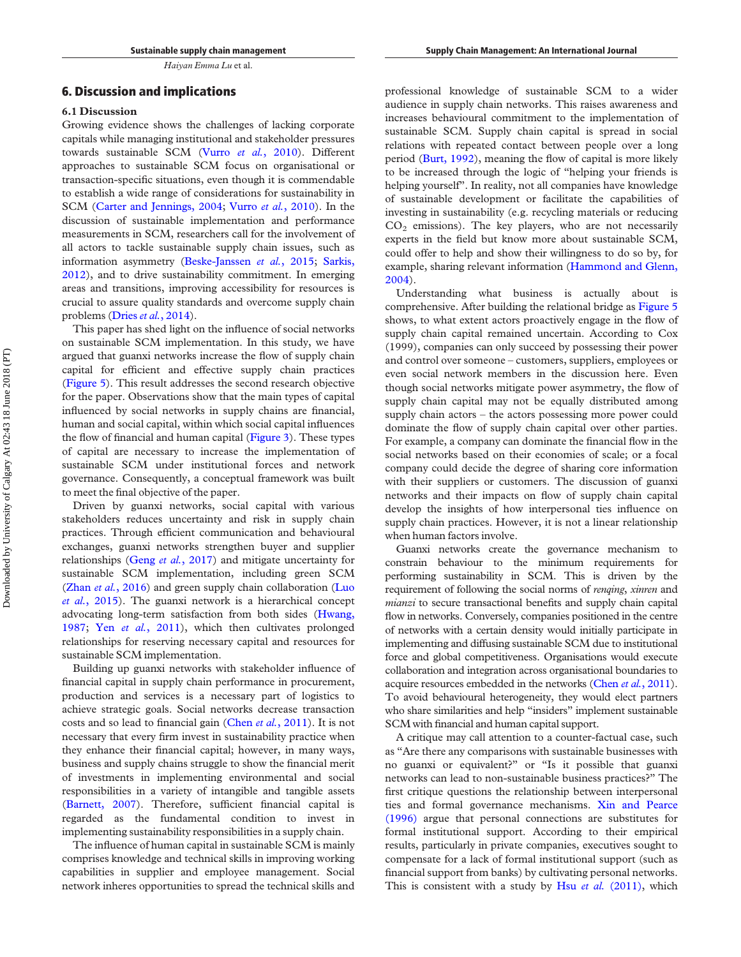# **6. Discussion and implications**

### **6.1 Discussion**

Growing evidence shows the challenges of lacking corporate capitals while managing institutional and stakeholder pressures towards sustainable SCM (Vurro *et al.*[, 2010\)](#page-17-21). Different approaches to sustainable SCM focus on organisational or transaction-specific situations, even though it is commendable to establish a wide range of considerations for sustainability in SCM ([Carter and Jennings, 2004](#page-14-2); Vurro *et al.*[, 2010](#page-17-21)). In the discussion of sustainable implementation and performance measurements in SCM, researchers call for the involvement of all actors to tackle sustainable supply chain issues, such as information asymmetry ([Beske-Janssen](#page-14-1) *et al.*, 2015; [Sarkis,](#page-16-0)  [2012\)](#page-16-0), and to drive sustainability commitment. In emerging areas and transitions, improving accessibility for resources is crucial to assure quality standards and overcome supply chain problems (Dries *et al.*[, 2014](#page-15-30)).

This paper has shed light on the influence of social networks on sustainable SCM implementation. In this study, we have argued that guanxi networks increase the flow of supply chain capital for efficient and effective supply chain practices [\(Figure 5](#page-10-1)). This result addresses the second research objective for the paper. Observations show that the main types of capital influenced by social networks in supply chains are financial, human and social capital, within which social capital influences the flow of financial and human capital ([Figure 3](#page-8-0)). These types of capital are necessary to increase the implementation of sustainable SCM under institutional forces and network governance. Consequently, a conceptual framework was built to meet the final objective of the paper.

Driven by guanxi networks, social capital with various stakeholders reduces uncertainty and risk in supply chain practices. Through efficient communication and behavioural exchanges, guanxi networks strengthen buyer and supplier relationships (Geng *et al.*[, 2017](#page-15-12)) and mitigate uncertainty for sustainable SCM implementation, including green SCM (Zhan *et al.*[, 2016\)](#page-17-10) and green supply chain collaboration ([Luo](#page-16-9)  *et al.*[, 2015](#page-16-9)). The guanxi network is a hierarchical concept advocating long-term satisfaction from both sides [\(Hwang,](#page-15-16)  [1987;](#page-15-16) Yen *et al.*[, 2011](#page-17-14)), which then cultivates prolonged relationships for reserving necessary capital and resources for sustainable SCM implementation.

Building up guanxi networks with stakeholder influence of financial capital in supply chain performance in procurement, production and services is a necessary part of logistics to achieve strategic goals. Social networks decrease transaction costs and so lead to financial gain (Chen *et al.*[, 2011](#page-14-3)). It is not necessary that every firm invest in sustainability practice when they enhance their financial capital; however, in many ways, business and supply chains struggle to show the financial merit of investments in implementing environmental and social responsibilities in a variety of intangible and tangible assets [\(Barnett, 2007](#page-14-28)). Therefore, sufficient financial capital is regarded as the fundamental condition to invest in implementing sustainability responsibilities in a supply chain.

The influence of human capital in sustainable SCM is mainly comprises knowledge and technical skills in improving working capabilities in supplier and employee management. Social network inheres opportunities to spread the technical skills and

professional knowledge of sustainable SCM to a wider audience in supply chain networks. This raises awareness and increases behavioural commitment to the implementation of sustainable SCM. Supply chain capital is spread in social relations with repeated contact between people over a long period ([Burt, 1992](#page-14-19)), meaning the flow of capital is more likely to be increased through the logic of "helping your friends is helping yourself". In reality, not all companies have knowledge of sustainable development or facilitate the capabilities of investing in sustainability (e.g. recycling materials or reducing  $CO<sub>2</sub>$  emissions). The key players, who are not necessarily experts in the field but know more about sustainable SCM, could offer to help and show their willingness to do so by, for example, sharing relevant information [\(Hammond and Glenn,](#page-15-13)  [2004\)](#page-15-13).

Understanding what business is actually about is comprehensive. After building the relational bridge as [Figure 5](#page-10-1)  shows, to what extent actors proactively engage in the flow of supply chain capital remained uncertain. According to Cox (1999), companies can only succeed by possessing their power and control over someone – customers, suppliers, employees or even social network members in the discussion here. Even though social networks mitigate power asymmetry, the flow of supply chain capital may not be equally distributed among supply chain actors – the actors possessing more power could dominate the flow of supply chain capital over other parties. For example, a company can dominate the financial flow in the social networks based on their economies of scale; or a focal company could decide the degree of sharing core information with their suppliers or customers. The discussion of guanxi networks and their impacts on flow of supply chain capital develop the insights of how interpersonal ties influence on supply chain practices. However, it is not a linear relationship when human factors involve.

Guanxi networks create the governance mechanism to constrain behaviour to the minimum requirements for performing sustainability in SCM. This is driven by the requirement of following the social norms of *renqing*, *xinren* and *mianzi* to secure transactional benefits and supply chain capital flow in networks. Conversely, companies positioned in the centre of networks with a certain density would initially participate in implementing and diffusing sustainable SCM due to institutional force and global competitiveness. Organisations would execute collaboration and integration across organisational boundaries to acquire resources embedded in the networks (Chen *et al.*[, 2011](#page-14-3)). To avoid behavioural heterogeneity, they would elect partners who share similarities and help "insiders" implement sustainable SCM with financial and human capital support.

A critique may call attention to a counter-factual case, such as "Are there any comparisons with sustainable businesses with no guanxi or equivalent?" or "Is it possible that guanxi networks can lead to non-sustainable business practices?" The first critique questions the relationship between interpersonal ties and formal governance mechanisms. [Xin and Pearce](#page-17-3)  [\(1996\)](#page-17-3) argue that personal connections are substitutes for formal institutional support. According to their empirical results, particularly in private companies, executives sought to compensate for a lack of formal institutional support (such as financial support from banks) by cultivating personal networks. This is consistent with a study by Hsu *et al.* [\(2011\)](#page-15-14), which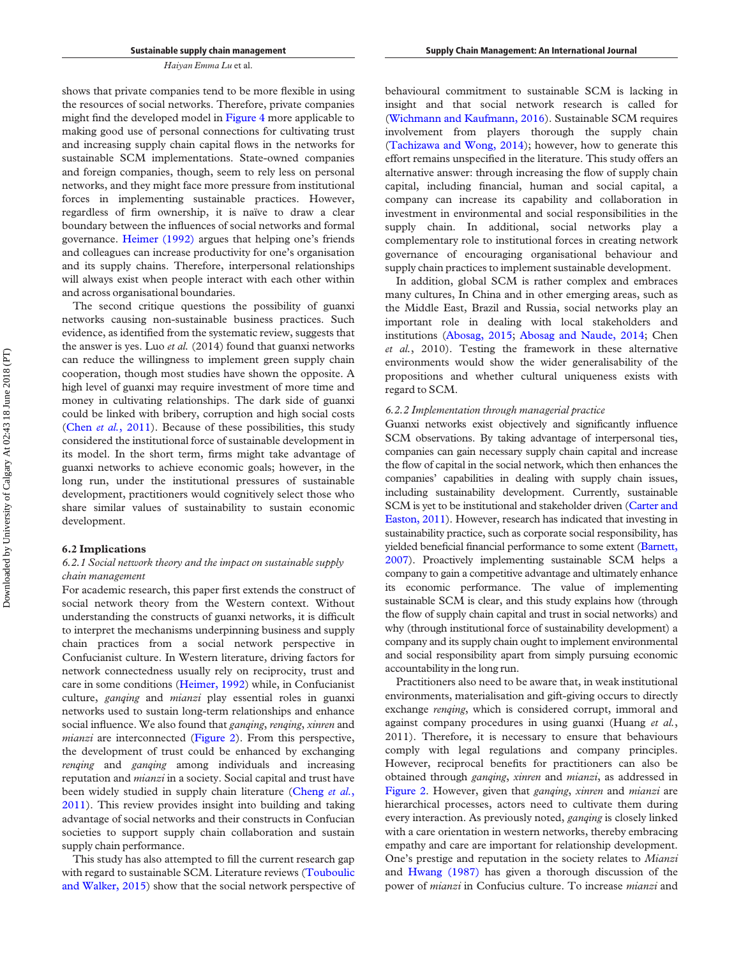shows that private companies tend to be more flexible in using the resources of social networks. Therefore, private companies might find the developed model in [Figure 4](#page-10-0) more applicable to making good use of personal connections for cultivating trust and increasing supply chain capital flows in the networks for sustainable SCM implementations. State-owned companies and foreign companies, though, seem to rely less on personal networks, and they might face more pressure from institutional forces in implementing sustainable practices. However, regardless of firm ownership, it is naïve to draw a clear boundary between the influences of social networks and formal governance. [Heimer \(1992\)](#page-15-6) argues that helping one's friends and colleagues can increase productivity for one's organisation and its supply chains. Therefore, interpersonal relationships will always exist when people interact with each other within and across organisational boundaries.

The second critique questions the possibility of guanxi networks causing non-sustainable business practices. Such evidence, as identified from the systematic review, suggests that the answer is yes. Luo *et al.* (2014) found that guanxi networks can reduce the willingness to implement green supply chain cooperation, though most studies have shown the opposite. A high level of guanxi may require investment of more time and money in cultivating relationships. The dark side of guanxi could be linked with bribery, corruption and high social costs (Chen *et al.*[, 2011](#page-14-3)). Because of these possibilities, this study considered the institutional force of sustainable development in its model. In the short term, firms might take advantage of guanxi networks to achieve economic goals; however, in the long run, under the institutional pressures of sustainable development, practitioners would cognitively select those who share similar values of sustainability to sustain economic development.

# **6.2 Implications**

# *6.2.1 Social network theory and the impact on sustainable supply chain management*

For academic research, this paper first extends the construct of social network theory from the Western context. Without understanding the constructs of guanxi networks, it is difficult to interpret the mechanisms underpinning business and supply chain practices from a social network perspective in Confucianist culture. In Western literature, driving factors for network connectedness usually rely on reciprocity, trust and care in some conditions ([Heimer, 1992\)](#page-15-6) while, in Confucianist culture, *ganqing* and *mianzi* play essential roles in guanxi networks used to sustain long-term relationships and enhance social influence. We also found that *ganqing*, *renqing*, *xinren* and *mianzi* are interconnected [\(Figure 2\)](#page-6-1). From this perspective, the development of trust could be enhanced by exchanging *renqing* and *ganqing* among individuals and increasing reputation and *mianzi* in a society. Social capital and trust have been widely studied in supply chain literature ([Cheng](#page-14-29) *et al.*, [2011\)](#page-14-29). This review provides insight into building and taking advantage of social networks and their constructs in Confucian societies to support supply chain collaboration and sustain supply chain performance.

This study has also attempted to fill the current research gap with regard to sustainable SCM. Literature reviews [\(Touboulic](#page-17-1)  [and Walker, 2015](#page-17-1)) show that the social network perspective of behavioural commitment to sustainable SCM is lacking in insight and that social network research is called for [\(Wichmann and Kaufmann, 2016](#page-17-22)). Sustainable SCM requires involvement from players thorough the supply chain [\(Tachizawa and Wong, 2014](#page-16-31)); however, how to generate this effort remains unspecified in the literature. This study offers an alternative answer: through increasing the flow of supply chain capital, including financial, human and social capital, a company can increase its capability and collaboration in investment in environmental and social responsibilities in the supply chain. In additional, social networks play a complementary role to institutional forces in creating network governance of encouraging organisational behaviour and supply chain practices to implement sustainable development.

In addition, global SCM is rather complex and embraces many cultures, In China and in other emerging areas, such as the Middle East, Brazil and Russia, social networks play an important role in dealing with local stakeholders and institutions [\(Abosag, 2015;](#page-13-4) [Abosag and Naude, 2014](#page-13-1); Chen *et al.*, 2010). Testing the framework in these alternative environments would show the wider generalisability of the propositions and whether cultural uniqueness exists with regard to SCM.

### *6.2.2 Implementation through managerial practice*

Guanxi networks exist objectively and significantly influence SCM observations. By taking advantage of interpersonal ties, companies can gain necessary supply chain capital and increase the flow of capital in the social network, which then enhances the companies' capabilities in dealing with supply chain issues, including sustainability development. Currently, sustainable SCM is yet to be institutional and stakeholder driven (Carter and [Easton, 2011\)](#page-14-7). However, research has indicated that investing in sustainability practice, such as corporate social responsibility, has yielded beneficial financial performance to some extent [\(Barnett,](#page-14-28)  [2007](#page-14-28)). Proactively implementing sustainable SCM helps a company to gain a competitive advantage and ultimately enhance its economic performance. The value of implementing sustainable SCM is clear, and this study explains how (through the flow of supply chain capital and trust in social networks) and why (through institutional force of sustainability development) a company and its supply chain ought to implement environmental and social responsibility apart from simply pursuing economic accountability in the long run.

Practitioners also need to be aware that, in weak institutional environments, materialisation and gift-giving occurs to directly exchange *renqing*, which is considered corrupt, immoral and against company procedures in using guanxi (Huang *et al.*, 2011). Therefore, it is necessary to ensure that behaviours comply with legal regulations and company principles. However, reciprocal benefits for practitioners can also be obtained through *ganqing*, *xinren* and *mianzi*, as addressed in [Figure 2.](#page-6-1) However, given that *ganqing*, *xinren* and *mianzi* are hierarchical processes, actors need to cultivate them during every interaction. As previously noted, *ganqing* is closely linked with a care orientation in western networks, thereby embracing empathy and care are important for relationship development. One's prestige and reputation in the society relates to *Mianzi*  and [Hwang \(1987\)](#page-15-16) has given a thorough discussion of the power of *mianzi* in Confucius culture. To increase *mianzi* and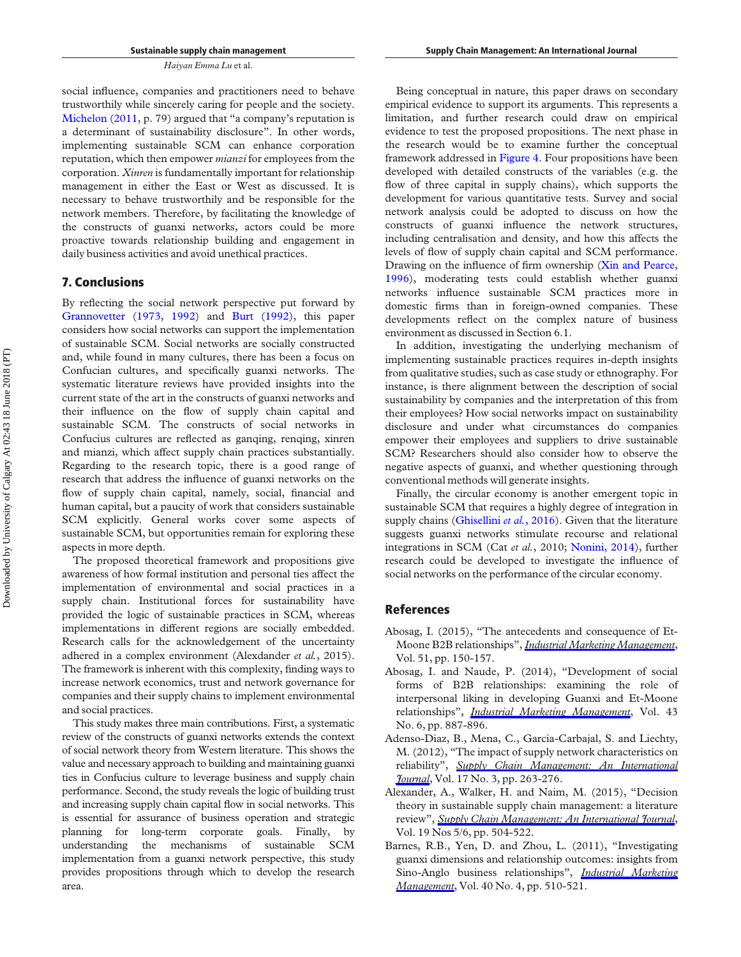social influence, companies and practitioners need to behave trustworthily while sincerely caring for people and the society. [Michelon \(2011](#page-16-32), p. 79) argued that "a company's reputation is a determinant of sustainability disclosure". In other words, implementing sustainable SCM can enhance corporation reputation, which then empower *mianzi* for employees from the corporation. *Xinren* is fundamentally important for relationship management in either the East or West as discussed. It is necessary to behave trustworthily and be responsible for the network members. Therefore, by facilitating the knowledge of the constructs of guanxi networks, actors could be more proactive towards relationship building and engagement in daily business activities and avoid unethical practices.

# **7. Conclusions**

By reflecting the social network perspective put forward by [Grannovetter \(1973](#page-15-5), [1992\)](#page-15-7) and [Burt \(1992\)](#page-14-19), this paper considers how social networks can support the implementation of sustainable SCM. Social networks are socially constructed and, while found in many cultures, there has been a focus on Confucian cultures, and specifically guanxi networks. The systematic literature reviews have provided insights into the current state of the art in the constructs of guanxi networks and their influence on the flow of supply chain capital and sustainable SCM. The constructs of social networks in Confucius cultures are reflected as ganqing, renqing, xinren and mianzi, which affect supply chain practices substantially. Regarding to the research topic, there is a good range of research that address the influence of guanxi networks on the flow of supply chain capital, namely, social, financial and human capital, but a paucity of work that considers sustainable SCM explicitly. General works cover some aspects of sustainable SCM, but opportunities remain for exploring these aspects in more depth.

The proposed theoretical framework and propositions give awareness of how formal institution and personal ties affect the implementation of environmental and social practices in a supply chain. Institutional forces for sustainability have provided the logic of sustainable practices in SCM, whereas implementations in different regions are socially embedded. Research calls for the acknowledgement of the uncertainty adhered in a complex environment (Alexdander *et al.*, 2015). The framework is inherent with this complexity, finding ways to increase network economics, trust and network governance for companies and their supply chains to implement environmental and social practices.

This study makes three main contributions. First, a systematic review of the constructs of guanxi networks extends the context of social network theory from Western literature. This shows the value and necessary approach to building and maintaining guanxi ties in Confucius culture to leverage business and supply chain performance. Second, the study reveals the logic of building trust and increasing supply chain capital flow in social networks. This is essential for assurance of business operation and strategic planning for long-term corporate goals. Finally, by understanding the mechanisms of sustainable SCM implementation from a guanxi network perspective, this study provides propositions through which to develop the research area.

Being conceptual in nature, this paper draws on secondary empirical evidence to support its arguments. This represents a limitation, and further research could draw on empirical evidence to test the proposed propositions. The next phase in the research would be to examine further the conceptual framework addressed in [Figure 4](#page-10-0). Four propositions have been developed with detailed constructs of the variables (e.g. the flow of three capital in supply chains), which supports the development for various quantitative tests. Survey and social network analysis could be adopted to discuss on how the constructs of guanxi influence the network structures, including centralisation and density, and how this affects the levels of flow of supply chain capital and SCM performance. Drawing on the influence of firm ownership ([Xin and Pearce,](#page-17-3)  [1996\)](#page-17-3), moderating tests could establish whether guanxi networks influence sustainable SCM practices more in domestic firms than in foreign-owned companies. These developments reflect on the complex nature of business environment as discussed in Section 6.1.

In addition, investigating the underlying mechanism of implementing sustainable practices requires in-depth insights from qualitative studies, such as case study or ethnography. For instance, is there alignment between the description of social sustainability by companies and the interpretation of this from their employees? How social networks impact on sustainability disclosure and under what circumstances do companies empower their employees and suppliers to drive sustainable SCM? Researchers should also consider how to observe the negative aspects of guanxi, and whether questioning through conventional methods will generate insights.

Finally, the circular economy is another emergent topic in sustainable SCM that requires a highly degree of integration in supply chains ([Ghisellini](#page-15-31) *et al.*, 2016). Given that the literature suggests guanxi networks stimulate recourse and relational integrations in SCM (Cat *et al.*, 2010; [Nonini, 2014](#page-16-21)), further research could be developed to investigate the influence of social networks on the performance of the circular economy.

# **References**

- <span id="page-13-4"></span>Abosag, I. (2015), "The antecedents and consequence of Et-Moone B2B relationships", *[Industrial Marketing Management](https://www.emeraldinsight.com/action/showLinks?doi=10.1108%2FSCM-11-2016-0408&crossref=10.1016%2Fj.indmarman.2015.05.028&isi=000367418800016&citationId=p_5)*, Vol. 51, pp. 150-157.
- <span id="page-13-1"></span>Abosag, I. and Naude, P. (2014), "Development of social forms of B2B relationships: examining the role of interpersonal liking in developing Guanxi and Et-Moone relationships", *[Industrial Marketing Management](https://www.emeraldinsight.com/action/showLinks?doi=10.1108%2FSCM-11-2016-0408&crossref=10.1016%2Fj.indmarman.2014.05.003&isi=000342256800003&citationId=p_6)*, Vol. 43 No. 6, pp. 887-896.
- <span id="page-13-0"></span>Adenso-Diaz, B., Mena, C., Garcia-Carbajal, S. and Liechty, M. (2012), "The impact of supply network characteristics on reliability", *[Supply Chain Management: An International](https://www.emeraldinsight.com/action/showLinks?doi=10.1108%2FSCM-11-2016-0408&system=10.1108%2F13598541211227108&isi=000305434100003&citationId=p_7)  [Journal](https://www.emeraldinsight.com/action/showLinks?doi=10.1108%2FSCM-11-2016-0408&system=10.1108%2F13598541211227108&isi=000305434100003&citationId=p_7)*, Vol. 17 No. 3, pp. 263-276.
- <span id="page-13-2"></span>Alexander, A., Walker, H. and Naim, M. (2015), "Decision theory in sustainable supply chain management: a literature review", *[Supply Chain Management: An International Journal](https://www.emeraldinsight.com/action/showLinks?doi=10.1108%2FSCM-11-2016-0408&system=10.1108%2FSCM-01-2014-0007&isi=000345150800003&citationId=p_8)*, Vol. 19 Nos 5/6, pp. 504-522.
- <span id="page-13-3"></span>Barnes, R.B., Yen, D. and Zhou, L. (2011), "Investigating guanxi dimensions and relationship outcomes: insights from Sino-Anglo business relationships", *[Industrial Marketing](https://www.emeraldinsight.com/action/showLinks?doi=10.1108%2FSCM-11-2016-0408&crossref=10.1016%2Fj.indmarman.2010.12.007&isi=000291138700005&citationId=p_9)  [Management](https://www.emeraldinsight.com/action/showLinks?doi=10.1108%2FSCM-11-2016-0408&crossref=10.1016%2Fj.indmarman.2010.12.007&isi=000291138700005&citationId=p_9)*, Vol. 40 No. 4, pp. 510-521.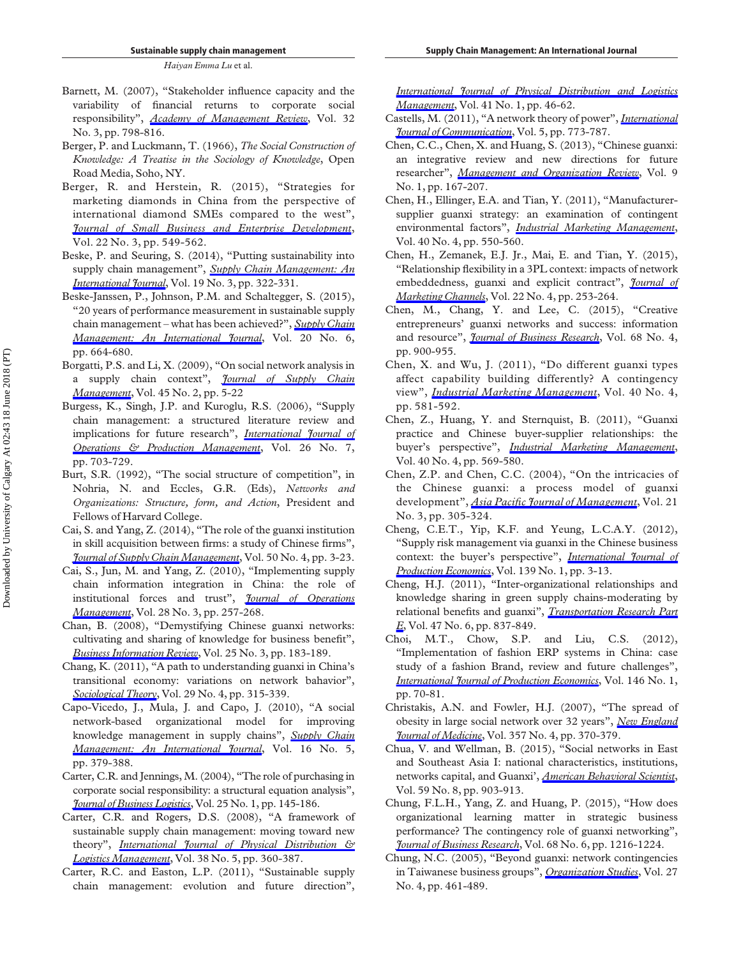- <span id="page-14-28"></span>Barnett, M. (2007), "Stakeholder influence capacity and the variability of financial returns to corporate social responsibility", *[Academy of Management Review](https://www.emeraldinsight.com/action/showLinks?doi=10.1108%2FSCM-11-2016-0408&crossref=10.5465%2Famr.2007.25275520&isi=000247302700008&citationId=p_10)*, Vol. 32 No. 3, pp. 798-816.
- <span id="page-14-8"></span>Berger, P. and Luckmann, T. (1966), *The Social Construction of Knowledge: A Treatise in the Sociology of Knowledge*, Open Road Media, Soho, NY.
- <span id="page-14-20"></span>Berger, R. and Herstein, R. (2015), "Strategies for marketing diamonds in China from the perspective of international diamond SMEs compared to the west", *[Journal of Small Business and Enterprise Development](https://www.emeraldinsight.com/action/showLinks?doi=10.1108%2FSCM-11-2016-0408&system=10.1108%2FJSBED-06-2013-0081&isi=000212278100010&citationId=p_12)*, Vol. 22 No. 3, pp. 549-562.
- <span id="page-14-0"></span>Beske, P. and Seuring, S. (2014), "Putting sustainability into supply chain management", *[Supply Chain Management: An](https://www.emeraldinsight.com/action/showLinks?doi=10.1108%2FSCM-11-2016-0408&system=10.1108%2FSCM-12-2013-0432&isi=000342052600008&citationId=p_13)  [International Journal](https://www.emeraldinsight.com/action/showLinks?doi=10.1108%2FSCM-11-2016-0408&system=10.1108%2FSCM-12-2013-0432&isi=000342052600008&citationId=p_13)*, Vol. 19 No. 3, pp. 322-331.
- <span id="page-14-1"></span>Beske-Janssen, P., Johnson, P.M. and Schaltegger, S. (2015), "20 years of performance measurement in sustainable supply chain management – what has been achieved?", *[Supply Chain](https://www.emeraldinsight.com/action/showLinks?doi=10.1108%2FSCM-11-2016-0408&system=10.1108%2FSCM-06-2015-0216&isi=000368926800007&citationId=p_14)  [Management: An International Journal](https://www.emeraldinsight.com/action/showLinks?doi=10.1108%2FSCM-11-2016-0408&system=10.1108%2FSCM-06-2015-0216&isi=000368926800007&citationId=p_14)*, Vol. 20 No. 6, pp. 664-680.
- <span id="page-14-6"></span>Borgatti, P.S. and Li, X. (2009), "On social network analysis in a supply chain context", *[Journal of Supply Chain](https://www.emeraldinsight.com/action/showLinks?doi=10.1108%2FSCM-11-2016-0408&crossref=10.1111%2Fj.1745-493X.2009.03166.x&isi=000207982400001&citationId=p_15)  [Management](https://www.emeraldinsight.com/action/showLinks?doi=10.1108%2FSCM-11-2016-0408&crossref=10.1111%2Fj.1745-493X.2009.03166.x&isi=000207982400001&citationId=p_15)*, Vol. 45 No. 2, pp. 5-22
- <span id="page-14-13"></span>Burgess, K., Singh, J.P. and Kuroglu, R.S. (2006), "Supply chain management: a structured literature review and implications for future research", *International Journal of [Operations & Production Management](https://www.emeraldinsight.com/action/showLinks?doi=10.1108%2FSCM-11-2016-0408&system=10.1108%2F01443570610672202&isi=000240248800002&citationId=p_16)*, Vol. 26 No. 7, pp. 703-729.
- <span id="page-14-19"></span>Burt, S.R. (1992), "The social structure of competition", in Nohria, N. and Eccles, G.R. (Eds), *Networks and Organizations: Structure, form, and Action*, President and Fellows of Harvard College.
- <span id="page-14-11"></span>Cai, S. and Yang, Z. (2014), "The role of the guanxi institution in skill acquisition between firms: a study of Chinese firms", *[Journal of Supply Chain Management](https://www.emeraldinsight.com/action/showLinks?doi=10.1108%2FSCM-11-2016-0408&crossref=10.1111%2Fjscm.12035&isi=000342801500001&citationId=p_18)*, Vol. 50 No. 4, pp. 3-23.
- <span id="page-14-4"></span>Cai, S., Jun, M. and Yang, Z. (2010), "Implementing supply chain information integration in China: the role of institutional forces and trust", *[Journal of Operations](https://www.emeraldinsight.com/action/showLinks?doi=10.1108%2FSCM-11-2016-0408&crossref=10.1016%2Fj.jom.2009.11.005&isi=000276558000007&citationId=p_19)  [Management](https://www.emeraldinsight.com/action/showLinks?doi=10.1108%2FSCM-11-2016-0408&crossref=10.1016%2Fj.jom.2009.11.005&isi=000276558000007&citationId=p_19)*, Vol. 28 No. 3, pp. 257-268.
- <span id="page-14-17"></span>Chan, B. (2008), "Demystifying Chinese guanxi networks: cultivating and sharing of knowledge for business benefit", *[Business Information Review](https://www.emeraldinsight.com/action/showLinks?doi=10.1108%2FSCM-11-2016-0408&crossref=10.1177%2F0266382108095042&citationId=p_20)*, Vol. 25 No. 3, pp. 183-189.
- <span id="page-14-18"></span>Chang, K. (2011), "A path to understanding guanxi in China's transitional economy: variations on network bahavior", *[Sociological Theory](https://www.emeraldinsight.com/action/showLinks?doi=10.1108%2FSCM-11-2016-0408&crossref=10.1111%2Fj.1467-9558.2011.01401.x&isi=000298286800005&citationId=p_21)*, Vol. 29 No. 4, pp. 315-339.
- <span id="page-14-25"></span>Capo-Vicedo, J., Mula, J. and Capo, J. (2010), "A social network-based organizational model for improving knowledge management in supply chains", *[Supply Chain](https://www.emeraldinsight.com/action/showLinks?doi=10.1108%2FSCM-11-2016-0408&system=10.1108%2F13598541111155884&isi=000295438500006&citationId=p_22)  [Management: An International Journal](https://www.emeraldinsight.com/action/showLinks?doi=10.1108%2FSCM-11-2016-0408&system=10.1108%2F13598541111155884&isi=000295438500006&citationId=p_22)*, Vol. 16 No. 5, pp. 379-388.
- <span id="page-14-2"></span>Carter, C.R. and Jennings, M. (2004), "The role of purchasing in corporate social responsibility: a structural equation analysis", *[Journal of Business Logistics](https://www.emeraldinsight.com/action/showLinks?doi=10.1108%2FSCM-11-2016-0408&crossref=10.1002%2Fj.2158-1592.2004.tb00173.x&citationId=p_23)*, Vol. 25 No. 1, pp. 145-186.
- <span id="page-14-12"></span>Carter, C.R. and Rogers, D.S. (2008), "A framework of sustainable supply chain management: moving toward new theory", *[International Journal of Physical Distribution &](https://www.emeraldinsight.com/action/showLinks?doi=10.1108%2FSCM-11-2016-0408&system=10.1108%2F09600030810882816&isi=000207737500002&citationId=p_24)  [Logistics Management](https://www.emeraldinsight.com/action/showLinks?doi=10.1108%2FSCM-11-2016-0408&system=10.1108%2F09600030810882816&isi=000207737500002&citationId=p_24)*, Vol. 38 No. 5, pp. 360-387.
- <span id="page-14-7"></span>Carter, R.C. and Easton, L.P. (2011), "Sustainable supply chain management: evolution and future direction",

*[International Journal of Physical Distribution and Logistics](https://www.emeraldinsight.com/action/showLinks?doi=10.1108%2FSCM-11-2016-0408&system=10.1108%2F09600031111101420&isi=000289401200004&citationId=p_25)  [Management](https://www.emeraldinsight.com/action/showLinks?doi=10.1108%2FSCM-11-2016-0408&system=10.1108%2F09600031111101420&isi=000289401200004&citationId=p_25)*, Vol. 41 No. 1, pp. 46-62.

- <span id="page-14-27"></span>Castells, M. (2011), "A network theory of power", *[International](https://www.emeraldinsight.com/action/showLinks?doi=10.1108%2FSCM-11-2016-0408&isi=000299223600006&citationId=p_26)  [Journal of Communication](https://www.emeraldinsight.com/action/showLinks?doi=10.1108%2FSCM-11-2016-0408&isi=000299223600006&citationId=p_26)*, Vol. 5, pp. 773-787.
- <span id="page-14-14"></span>Chen, C.C., Chen, X. and Huang, S. (2013), "Chinese guanxi: an integrative review and new directions for future researcher", *[Management and Organization Review](https://www.emeraldinsight.com/action/showLinks?doi=10.1108%2FSCM-11-2016-0408&crossref=10.1111%2Fmore.12010&isi=000315593900007&citationId=p_27)*, Vol. 9 No. 1, pp. 167-207.
- <span id="page-14-3"></span>Chen, H., Ellinger, E.A. and Tian, Y. (2011), "Manufacturersupplier guanxi strategy: an examination of contingent environmental factors", *[Industrial Marketing Management](https://www.emeraldinsight.com/action/showLinks?doi=10.1108%2FSCM-11-2016-0408&crossref=10.1016%2Fj.indmarman.2010.12.011&isi=000291138700009&citationId=p_28)*, Vol. 40 No. 4, pp. 550-560.
- Chen, H., Zemanek, E.J. Jr., Mai, E. and Tian, Y. (2015), "Relationship flexibility in a 3PL context: impacts of network embeddedness, guanxi and explicit contract", *Journal of [Marketing Channels](https://www.emeraldinsight.com/action/showLinks?doi=10.1108%2FSCM-11-2016-0408&crossref=10.1080%2F1046669X.2015.1113490&isi=000415531300002&citationId=p_29)*, Vol. 22 No. 4, pp. 253-264.
- <span id="page-14-16"></span>Chen, M., Chang, Y. and Lee, C. (2015), "Creative entrepreneurs' guanxi networks and success: information and resource", *[Journal of Business Research](https://www.emeraldinsight.com/action/showLinks?doi=10.1108%2FSCM-11-2016-0408&crossref=10.1016%2Fj.jbusres.2014.11.049&isi=000349725900028&citationId=p_30)*, Vol. 68 No. 4, pp. 900-955.
- <span id="page-14-22"></span>Chen, X. and Wu, J. (2011), "Do different guanxi types affect capability building differently? A contingency view", *[Industrial Marketing Management](https://www.emeraldinsight.com/action/showLinks?doi=10.1108%2FSCM-11-2016-0408&crossref=10.1016%2Fj.indmarman.2010.12.014&isi=000291138700012&citationId=p_31)*, Vol. 40 No. 4, pp. 581-592.
- <span id="page-14-29"></span>Chen, Z., Huang, Y. and Sternquist, B. (2011), "Guanxi practice and Chinese buyer-supplier relationships: the buyer's perspective", *[Industrial Marketing Management](https://www.emeraldinsight.com/action/showLinks?doi=10.1108%2FSCM-11-2016-0408&crossref=10.1016%2Fj.indmarman.2010.12.013&isi=000291138700011&citationId=p_32)*, Vol. 40 No. 4, pp. 569-580.
- <span id="page-14-15"></span>Chen, Z.P. and Chen, C.C. (2004), "On the intricacies of the Chinese guanxi: a process model of guanxi development", *[Asia Pacific Journal of Management](https://www.emeraldinsight.com/action/showLinks?doi=10.1108%2FSCM-11-2016-0408&crossref=10.1023%2FB%3AAPJM.0000036465.19102.d5&citationId=p_33)*, Vol. 21 No. 3, pp. 305-324.
- <span id="page-14-10"></span>Cheng, C.E.T., Yip, K.F. and Yeung, L.C.A.Y. (2012), "Supply risk management via guanxi in the Chinese business context: the buyer's perspective", *International Journal of [Production Economics](https://www.emeraldinsight.com/action/showLinks?doi=10.1108%2FSCM-11-2016-0408&crossref=10.1016%2Fj.ijpe.2011.03.017&isi=000306877300002&citationId=p_34)*, Vol. 139 No. 1, pp. 3-13.
- <span id="page-14-5"></span>Cheng, H.J. (2011), "Inter-organizational relationships and knowledge sharing in green supply chains-moderating by relational benefits and guanxi", *[Transportation Research Part](https://www.emeraldinsight.com/action/showLinks?doi=10.1108%2FSCM-11-2016-0408&crossref=10.1016%2Fj.tre.2010.12.008&isi=000294237200005&citationId=p_35)  [E](https://www.emeraldinsight.com/action/showLinks?doi=10.1108%2FSCM-11-2016-0408&crossref=10.1016%2Fj.tre.2010.12.008&isi=000294237200005&citationId=p_35)*, Vol. 47 No. 6, pp. 837-849.
- <span id="page-14-23"></span>Choi, M.T., Chow, S.P. and Liu, C.S. (2012), "Implementation of fashion ERP systems in China: case study of a fashion Brand, review and future challenges", *[International Journal of Production Economics](https://www.emeraldinsight.com/action/showLinks?doi=10.1108%2FSCM-11-2016-0408&crossref=10.1016%2Fj.ijpe.2012.12.004&isi=000326426300008&citationId=p_36)*, Vol. 146 No. 1, pp. 70-81.
- <span id="page-14-26"></span>Christakis, A.N. and Fowler, H.J. (2007), "The spread of obesity in large social network over 32 years", *[New England](https://www.emeraldinsight.com/action/showLinks?doi=10.1108%2FSCM-11-2016-0408&crossref=10.1056%2FNEJMsa066082&isi=000248283500008&citationId=p_37)  [Journal of Medicine](https://www.emeraldinsight.com/action/showLinks?doi=10.1108%2FSCM-11-2016-0408&crossref=10.1056%2FNEJMsa066082&isi=000248283500008&citationId=p_37)*, Vol. 357 No. 4, pp. 370-379.
- <span id="page-14-9"></span>Chua, V. and Wellman, B. (2015), "Social networks in East and Southeast Asia I: national characteristics, institutions, networks capital, and Guanxi', *[American Behavioral Scientist](https://www.emeraldinsight.com/action/showLinks?doi=10.1108%2FSCM-11-2016-0408&crossref=10.1177%2F0002764215580585&isi=000356229100001&citationId=p_38)*, Vol. 59 No. 8, pp. 903-913.
- <span id="page-14-21"></span>Chung, F.L.H., Yang, Z. and Huang, P. (2015), "How does organizational learning matter in strategic business performance? The contingency role of guanxi networking", *[Journal of Business Research](https://www.emeraldinsight.com/action/showLinks?doi=10.1108%2FSCM-11-2016-0408&crossref=10.1016%2Fj.jbusres.2014.11.016&isi=000353004500009&citationId=p_39)*, Vol. 68 No. 6, pp. 1216-1224.
- <span id="page-14-24"></span>Chung, N.C. (2005), "Beyond guanxi: network contingencies in Taiwanese business groups", *[Organization Studies](https://www.emeraldinsight.com/action/showLinks?doi=10.1108%2FSCM-11-2016-0408&crossref=10.1177%2F0170840605058230&isi=000237195000001&citationId=p_40)*, Vol. 27 No. 4, pp. 461-489.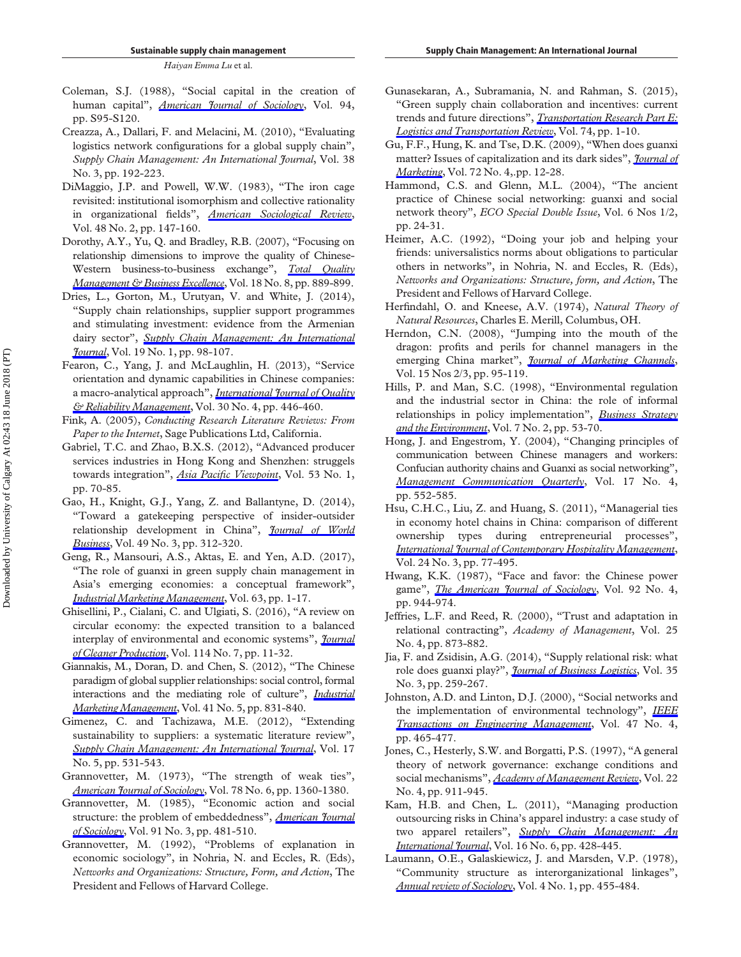- <span id="page-15-8"></span>Coleman, S.J. (1988), "Social capital in the creation of human capital", *[American Journal of Sociology](https://www.emeraldinsight.com/action/showLinks?doi=10.1108%2FSCM-11-2016-0408&crossref=10.1086%2F228943&isi=A1988P262400004&citationId=p_41)*, Vol. 94, pp. S95-S120.
- <span id="page-15-0"></span>Creazza, A., Dallari, F. and Melacini, M. (2010), "Evaluating logistics network configurations for a global supply chain", *Supply Chain Management: An International Journal*, Vol. 38 No. 3, pp. 192-223.
- <span id="page-15-28"></span>DiMaggio, J.P. and Powell, W.W. (1983), "The iron cage revisited: institutional isomorphism and collective rationality in organizational fields", *[American Sociological Review](https://www.emeraldinsight.com/action/showLinks?doi=10.1108%2FSCM-11-2016-0408&crossref=10.2307%2F2095101&isi=A1983QK63300001&citationId=p_43)*, Vol. 48 No. 2, pp. 147-160.
- <span id="page-15-21"></span>Dorothy, A.Y., Yu, Q. and Bradley, R.B. (2007), "Focusing on relationship dimensions to improve the quality of Chinese-Western business-to-business exchange", *[Total Quality](https://www.emeraldinsight.com/action/showLinks?doi=10.1108%2FSCM-11-2016-0408&crossref=10.1080%2F14783360701350813&isi=000250246500005&citationId=p_44)  [Management & Business Excellence](https://www.emeraldinsight.com/action/showLinks?doi=10.1108%2FSCM-11-2016-0408&crossref=10.1080%2F14783360701350813&isi=000250246500005&citationId=p_44)*, Vol. 18 No. 8, pp. 889-899.
- <span id="page-15-30"></span>Dries, L., Gorton, M., Urutyan, V. and White, J. (2014), "Supply chain relationships, supplier support programmes and stimulating investment: evidence from the Armenian dairy sector", *[Supply Chain Management: An International](https://www.emeraldinsight.com/action/showLinks?doi=10.1108%2FSCM-11-2016-0408&system=10.1108%2FSCM-12-2012-0380&isi=000330422200008&citationId=p_45)  [Journal](https://www.emeraldinsight.com/action/showLinks?doi=10.1108%2FSCM-11-2016-0408&system=10.1108%2FSCM-12-2012-0380&isi=000330422200008&citationId=p_45)*, Vol. 19 No. 1, pp. 98-107.
- <span id="page-15-23"></span>Fearon, C., Yang, J. and McLaughlin, H. (2013), "Service orientation and dynamic capabilities in Chinese companies: a macro-analytical approach", *[International Journal of Quality](https://www.emeraldinsight.com/action/showLinks?doi=10.1108%2FSCM-11-2016-0408&system=10.1108%2F02656711311308411&citationId=p_46)  [& Reliability Management](https://www.emeraldinsight.com/action/showLinks?doi=10.1108%2FSCM-11-2016-0408&system=10.1108%2F02656711311308411&citationId=p_46)*, Vol. 30 No. 4, pp. 446-460.
- <span id="page-15-11"></span>Fink, A. (2005), *Conducting Research Literature Reviews: From Paper to the Internet*, Sage Publications Ltd, California.
- <span id="page-15-20"></span>Gabriel, T.C. and Zhao, B.X.S. (2012), "Advanced producer services industries in Hong Kong and Shenzhen: struggels towards integration", *[Asia Pacific Viewpoint](https://www.emeraldinsight.com/action/showLinks?doi=10.1108%2FSCM-11-2016-0408&crossref=10.1111%2Fj.1467-8373.2012.01476.x&isi=000302351100006&citationId=p_48)*, Vol. 53 No. 1, pp. 70-85.
- <span id="page-15-2"></span>Gao, H., Knight, G.J., Yang, Z. and Ballantyne, D. (2014), "Toward a gatekeeping perspective of insider-outsider relationship development in China", *[Journal of World](https://www.emeraldinsight.com/action/showLinks?doi=10.1108%2FSCM-11-2016-0408&crossref=10.1016%2Fj.jwb.2013.06.002&isi=000338613100003&citationId=p_49)  [Business](https://www.emeraldinsight.com/action/showLinks?doi=10.1108%2FSCM-11-2016-0408&crossref=10.1016%2Fj.jwb.2013.06.002&isi=000338613100003&citationId=p_49)*, Vol. 49 No. 3, pp. 312-320.
- <span id="page-15-12"></span>Geng, R., Mansouri, A.S., Aktas, E. and Yen, A.D. (2017), "The role of guanxi in green supply chain management in Asia's emerging economies: a conceptual framework", *[Industrial Marketing Management](https://www.emeraldinsight.com/action/showLinks?doi=10.1108%2FSCM-11-2016-0408&crossref=10.1016%2Fj.indmarman.2017.01.002&isi=000403132800001&citationId=p_50)*, Vol. 63, pp. 1-17.
- <span id="page-15-31"></span>Ghisellini, P., Cialani, C. and Ulgiati, S. (2016), "A review on circular economy: the expected transition to a balanced interplay of environmental and economic systems", *[Journal](https://www.emeraldinsight.com/action/showLinks?doi=10.1108%2FSCM-11-2016-0408&crossref=10.1016%2Fj.jclepro.2015.09.007&citationId=p_51)  [of Cleaner Production](https://www.emeraldinsight.com/action/showLinks?doi=10.1108%2FSCM-11-2016-0408&crossref=10.1016%2Fj.jclepro.2015.09.007&citationId=p_51)*, Vol. 114 No. 7, pp. 11-32.
- <span id="page-15-3"></span>Giannakis, M., Doran, D. and Chen, S. (2012), "The Chinese paradigm of global supplier relationships: social control, formal interactions and the mediating role of culture", *[Industrial](https://www.emeraldinsight.com/action/showLinks?doi=10.1108%2FSCM-11-2016-0408&crossref=10.1016%2Fj.indmarman.2012.06.008&isi=000309643800013&citationId=p_52)  [Marketing Management](https://www.emeraldinsight.com/action/showLinks?doi=10.1108%2FSCM-11-2016-0408&crossref=10.1016%2Fj.indmarman.2012.06.008&isi=000309643800013&citationId=p_52)*, Vol. 41 No. 5, pp. 831-840.
- <span id="page-15-9"></span>Gimenez, C. and Tachizawa, M.E. (2012), "Extending sustainability to suppliers: a systematic literature review", *[Supply Chain Management: An International Journal](https://www.emeraldinsight.com/action/showLinks?doi=10.1108%2FSCM-11-2016-0408&system=10.1108%2F13598541211258591&isi=000309085400005&citationId=p_53)*, Vol. 17 No. 5, pp. 531-543.
- <span id="page-15-5"></span>Grannovetter, M. (1973), "The strength of weak ties", *[American Journal of Sociology](https://www.emeraldinsight.com/action/showLinks?doi=10.1108%2FSCM-11-2016-0408&crossref=10.1086%2F225469&isi=A1973P772600003&citationId=p_54)*, Vol. 78 No. 6, pp. 1360-1380.
- <span id="page-15-29"></span>Grannovetter, M. (1985), "Economic action and social structure: the problem of embeddedness", *[American Journal](https://www.emeraldinsight.com/action/showLinks?doi=10.1108%2FSCM-11-2016-0408&crossref=10.1086%2F228311&isi=A1985AWH8100001&citationId=p_55)  [of Sociology](https://www.emeraldinsight.com/action/showLinks?doi=10.1108%2FSCM-11-2016-0408&crossref=10.1086%2F228311&isi=A1985AWH8100001&citationId=p_55)*, Vol. 91 No. 3, pp. 481-510.
- <span id="page-15-7"></span>Grannovetter, M. (1992), "Problems of explanation in economic sociology", in Nohria, N. and Eccles, R. (Eds), *Networks and Organizations: Structure, Form, and Action*, The President and Fellows of Harvard College.
- <span id="page-15-10"></span>Gunasekaran, A., Subramania, N. and Rahman, S. (2015), "Green supply chain collaboration and incentives: current trends and future directions", *[Transportation Research Part E:](https://www.emeraldinsight.com/action/showLinks?doi=10.1108%2FSCM-11-2016-0408&crossref=10.1016%2Fj.tre.2015.01.002&isi=000350923600001&citationId=p_57)  [Logistics and Transportation Review](https://www.emeraldinsight.com/action/showLinks?doi=10.1108%2FSCM-11-2016-0408&crossref=10.1016%2Fj.tre.2015.01.002&isi=000350923600001&citationId=p_57)*, Vol. 74, pp. 1-10.
- <span id="page-15-25"></span>Gu, F.F., Hung, K. and Tse, D.K. (2009), "When does guanxi matter? Issues of capitalization and its dark sides", *[Journal of](https://www.emeraldinsight.com/action/showLinks?doi=10.1108%2FSCM-11-2016-0408&crossref=10.1509%2Fjmkg.72.4.12&isi=000257335800002&citationId=p_58)  [Marketing](https://www.emeraldinsight.com/action/showLinks?doi=10.1108%2FSCM-11-2016-0408&crossref=10.1509%2Fjmkg.72.4.12&isi=000257335800002&citationId=p_58)*, Vol. 72 No. 4,.pp. 12-28.
- <span id="page-15-13"></span>Hammond, C.S. and Glenn, M.L. (2004), "The ancient practice of Chinese social networking: guanxi and social network theory", *ECO Special Double Issue*, Vol. 6 Nos 1/2, pp. 24-31.
- <span id="page-15-6"></span>Heimer, A.C. (1992), "Doing your job and helping your friends: universalistics norms about obligations to particular others in networks", in Nohria, N. and Eccles, R. (Eds), *Networks and Organizations: Structure, form, and Action*, The President and Fellows of Harvard College.
- <span id="page-15-26"></span>Herfindahl, O. and Kneese, A.V. (1974), *Natural Theory of Natural Resources*, Charles E. Merill, Columbus, OH.
- <span id="page-15-18"></span>Herndon, C.N. (2008), "Jumping into the mouth of the dragon: profits and perils for channel managers in the emerging China market", *[Journal of Marketing Channels](https://www.emeraldinsight.com/action/showLinks?doi=10.1108%2FSCM-11-2016-0408&crossref=10.1080%2F10466690802013825&citationId=p_62)*, Vol. 15 Nos 2/3, pp. 95-119.
- <span id="page-15-15"></span>Hills, P. and Man, S.C. (1998), "Environmental regulation and the industrial sector in China: the role of informal relationships in policy implementation", *[Business Strategy](https://www.emeraldinsight.com/action/showLinks?doi=10.1108%2FSCM-11-2016-0408&crossref=10.1002%2F%28SICI%291099-0836%28199805%297%3A2%3C53%3A%3AAID-BSE140%3E3.0.CO%3B2-D&citationId=p_63)  [and the Environment](https://www.emeraldinsight.com/action/showLinks?doi=10.1108%2FSCM-11-2016-0408&crossref=10.1002%2F%28SICI%291099-0836%28199805%297%3A2%3C53%3A%3AAID-BSE140%3E3.0.CO%3B2-D&citationId=p_63)*, Vol. 7 No. 2, pp. 53-70.
- <span id="page-15-17"></span>Hong, J. and Engestrom, Y. (2004), "Changing principles of communication between Chinese managers and workers: Confucian authority chains and Guanxi as social networking", *[Management Communication Quarterly](https://www.emeraldinsight.com/action/showLinks?doi=10.1108%2FSCM-11-2016-0408&crossref=10.1177%2F0893318903262266&citationId=p_64)*, Vol. 17 No. 4, pp. 552-585.
- <span id="page-15-14"></span>Hsu, C.H.C., Liu, Z. and Huang, S. (2011), "Managerial ties in economy hotel chains in China: comparison of different ownership types during entrepreneurial processes", *[International Journal of Contemporary Hospitality Management](https://www.emeraldinsight.com/action/showLinks?doi=10.1108%2FSCM-11-2016-0408&isi=000305050000018&citationId=p_65)*, Vol. 24 No. 3, pp. 77-495.
- <span id="page-15-16"></span>Hwang, K.K. (1987), "Face and favor: the Chinese power game", *[The American Journal of Sociology](https://www.emeraldinsight.com/action/showLinks?doi=10.1108%2FSCM-11-2016-0408&crossref=10.1086%2F228588&isi=A1987F633000007&citationId=p_66)*, Vol. 92 No. 4, pp. 944-974.
- <span id="page-15-19"></span>Jeffries, L.F. and Reed, R. (2000), "Trust and adaptation in relational contracting", *Academy of Management*, Vol. 25 No. 4, pp. 873-882.
- <span id="page-15-22"></span>Jia, F. and Zsidisin, A.G. (2014), "Supply relational risk: what role does guanxi play?", *[Journal of Business Logistics](https://www.emeraldinsight.com/action/showLinks?doi=10.1108%2FSCM-11-2016-0408&crossref=10.1111%2Fjbl.12050&isi=000342823300008&citationId=p_68)*, Vol. 35 No. 3, pp. 259-267.
- <span id="page-15-1"></span>Johnston, A.D. and Linton, D.J. (2000), "Social networks and the implementation of environmental technology", *[IEEE](https://www.emeraldinsight.com/action/showLinks?doi=10.1108%2FSCM-11-2016-0408&crossref=10.1109%2F17.895341&isi=000166506300005&citationId=p_69)  [Transactions on Engineering Management](https://www.emeraldinsight.com/action/showLinks?doi=10.1108%2FSCM-11-2016-0408&crossref=10.1109%2F17.895341&isi=000166506300005&citationId=p_69)*, Vol. 47 No. 4, pp. 465-477.
- <span id="page-15-27"></span>Jones, C., Hesterly, S.W. and Borgatti, P.S. (1997), "A general theory of network governance: exchange conditions and social mechanisms", *[Academy of Management Review](https://www.emeraldinsight.com/action/showLinks?doi=10.1108%2FSCM-11-2016-0408&crossref=10.5465%2Famr.1997.9711022109&isi=000073228300010&citationId=p_70)*, Vol. 22 No. 4, pp. 911-945.
- <span id="page-15-24"></span>Kam, H.B. and Chen, L. (2011), "Managing production outsourcing risks in China's apparel industry: a case study of two apparel retailers", *[Supply Chain Management: An](https://www.emeraldinsight.com/action/showLinks?doi=10.1108%2FSCM-11-2016-0408&system=10.1108%2F13598541111171147&isi=000297037300005&citationId=p_71)  [International Journal](https://www.emeraldinsight.com/action/showLinks?doi=10.1108%2FSCM-11-2016-0408&system=10.1108%2F13598541111171147&isi=000297037300005&citationId=p_71)*, Vol. 16 No. 6, pp. 428-445.
- <span id="page-15-4"></span>Laumann, O.E., Galaskiewicz, J. and Marsden, V.P. (1978), "Community structure as interorganizational linkages", *[Annual review of Sociology](https://www.emeraldinsight.com/action/showLinks?doi=10.1108%2FSCM-11-2016-0408&crossref=10.1146%2Fannurev.so.04.080178.002323&citationId=p_72)*, Vol. 4 No. 1, pp. 455-484.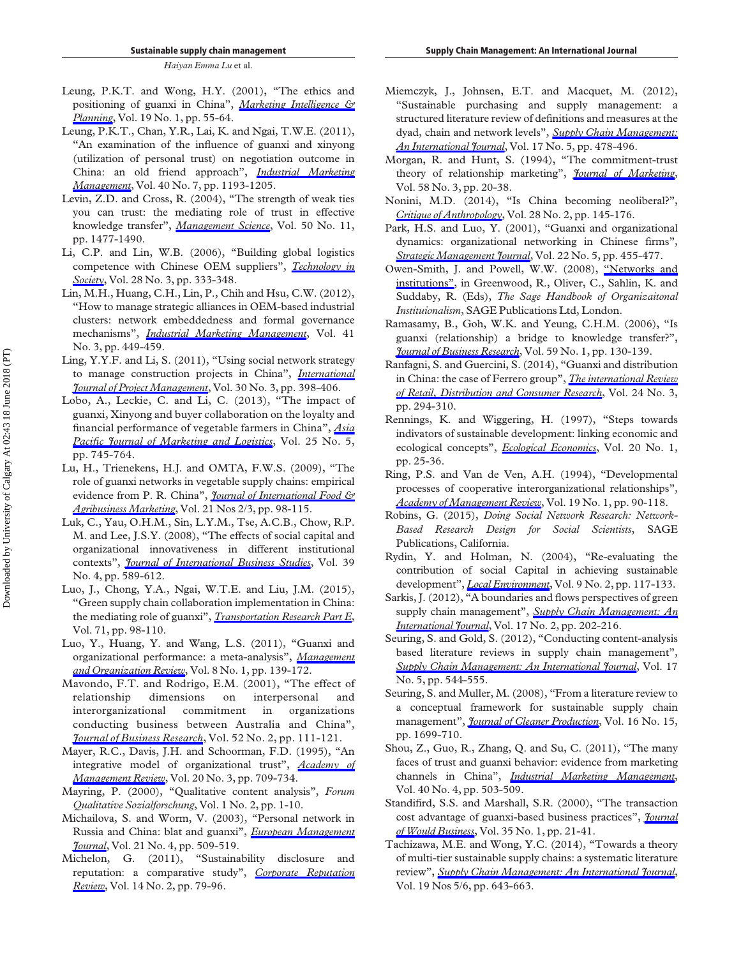- <span id="page-16-14"></span>Leung, P.K.T. and Wong, H.Y. (2001), "The ethics and positioning of guanxi in China", *[Marketing Intelligence &](https://www.emeraldinsight.com/action/showLinks?doi=10.1108%2FSCM-11-2016-0408&system=10.1108%2F02634500110363826&citationId=p_73)  [Planning](https://www.emeraldinsight.com/action/showLinks?doi=10.1108%2FSCM-11-2016-0408&system=10.1108%2F02634500110363826&citationId=p_73)*, Vol. 19 No. 1, pp. 55-64.
- <span id="page-16-18"></span>Leung, P.K.T., Chan, Y.R., Lai, K. and Ngai, T.W.E. (2011), "An examination of the influence of guanxi and xinyong (utilization of personal trust) on negotiation outcome in China: an old friend approach", *[Industrial Marketing](https://www.emeraldinsight.com/action/showLinks?doi=10.1108%2FSCM-11-2016-0408&crossref=10.1016%2Fj.indmarman.2010.12.020&isi=000298906300016&citationId=p_74)  [Management](https://www.emeraldinsight.com/action/showLinks?doi=10.1108%2FSCM-11-2016-0408&crossref=10.1016%2Fj.indmarman.2010.12.020&isi=000298906300016&citationId=p_74)*, Vol. 40 No. 7, pp. 1193-1205.
- <span id="page-16-28"></span>Levin, Z.D. and Cross, R. (2004), "The strength of weak ties you can trust: the mediating role of trust in effective knowledge transfer", *[Management Science](https://www.emeraldinsight.com/action/showLinks?doi=10.1108%2FSCM-11-2016-0408&crossref=10.1287%2Fmnsc.1030.0136&isi=000225126600002&citationId=p_75)*, Vol. 50 No. 11, pp. 1477-1490.
- <span id="page-16-24"></span>Li, C.P. and Lin, W.B. (2006), "Building global logistics competence with Chinese OEM suppliers", *[Technology in](https://www.emeraldinsight.com/action/showLinks?doi=10.1108%2FSCM-11-2016-0408&crossref=10.1016%2Fj.techsoc.2006.06.003&citationId=p_76)  [Society](https://www.emeraldinsight.com/action/showLinks?doi=10.1108%2FSCM-11-2016-0408&crossref=10.1016%2Fj.techsoc.2006.06.003&citationId=p_76)*, Vol. 28 No. 3, pp. 333-348.
- <span id="page-16-25"></span>Lin, M.H., Huang, C.H., Lin, P., Chih and Hsu, C.W. (2012), "How to manage strategic alliances in OEM-based industrial clusters: network embeddedness and formal governance mechanisms", *[Industrial Marketing Management](https://www.emeraldinsight.com/action/showLinks?doi=10.1108%2FSCM-11-2016-0408&crossref=10.1016%2Fj.indmarman.2011.04.003&isi=000303700300009&citationId=p_77)*, Vol. 41 No. 3, pp. 449-459.
- <span id="page-16-12"></span>Ling, Y.Y.F. and Li, S. (2011), "Using social network strategy to manage construction projects in China", *[International](https://www.emeraldinsight.com/action/showLinks?doi=10.1108%2FSCM-11-2016-0408&crossref=10.1016%2Fj.ijproman.2011.05.010&isi=000301325700012&citationId=p_78)  [Journal of Project Management](https://www.emeraldinsight.com/action/showLinks?doi=10.1108%2FSCM-11-2016-0408&crossref=10.1016%2Fj.ijproman.2011.05.010&isi=000301325700012&citationId=p_78)*, Vol. 30 No. 3, pp. 398-406.
- <span id="page-16-10"></span>Lobo, A., Leckie, C. and Li, C. (2013), "The impact of guanxi, Xinyong and buyer collaboration on the loyalty and financial performance of vegetable farmers in China", *[Asia](https://www.emeraldinsight.com/action/showLinks?doi=10.1108%2FSCM-11-2016-0408&system=10.1108%2FAPJML-01-2013-0018&citationId=p_79)*  Pacific *fournal of Marketing and Logistics*, Vol. 25 No. 5, pp. 745-764.
- <span id="page-16-17"></span>Lu, H., Trienekens, H.J. and OMTA, F.W.S. (2009), "The role of guanxi networks in vegetable supply chains: empirical evidence from P. R. China", *[Journal of International Food &](https://www.emeraldinsight.com/action/showLinks?doi=10.1108%2FSCM-11-2016-0408&crossref=10.1080%2F08974430802587612&citationId=p_80)  [Agribusiness Marketing](https://www.emeraldinsight.com/action/showLinks?doi=10.1108%2FSCM-11-2016-0408&crossref=10.1080%2F08974430802587612&citationId=p_80)*, Vol. 21 Nos 2/3, pp. 98-115.
- <span id="page-16-26"></span>Luk, C., Yau, O.H.M., Sin, L.Y.M., Tse, A.C.B., Chow, R.P. M. and Lee, J.S.Y. (2008), "The effects of social capital and organizational innovativeness in different institutional contexts", *[Journal of International Business Studies](https://www.emeraldinsight.com/action/showLinks?doi=10.1108%2FSCM-11-2016-0408&crossref=10.1057%2Fpalgrave.jibs.8400373&isi=000255984400005&citationId=p_81)*, Vol. 39 No. 4, pp. 589-612.
- <span id="page-16-9"></span>Luo, J., Chong, Y.A., Ngai, W.T.E. and Liu, J.M. (2015), "Green supply chain collaboration implementation in China: the mediating role of guanxi", *[Transportation Research Part E](https://www.emeraldinsight.com/action/showLinks?doi=10.1108%2FSCM-11-2016-0408&crossref=10.1016%2Fj.tre.2014.09.005&isi=000345723900006&citationId=p_82)*, Vol. 71, pp. 98-110.
- <span id="page-16-15"></span>Luo, Y., Huang, Y. and Wang, L.S. (2011), "Guanxi and organizational performance: a meta-analysis", *[Management](https://www.emeraldinsight.com/action/showLinks?doi=10.1108%2FSCM-11-2016-0408&crossref=10.1111%2Fj.1740-8784.2011.00273.x&isi=000302014100008&citationId=p_83)  [and Organization Review](https://www.emeraldinsight.com/action/showLinks?doi=10.1108%2FSCM-11-2016-0408&crossref=10.1111%2Fj.1740-8784.2011.00273.x&isi=000302014100008&citationId=p_83)*, Vol. 8 No. 1, pp. 139-172.
- <span id="page-16-30"></span>Mavondo, F.T. and Rodrigo, E.M. (2001), "The effect of relationship dimensions on interpersonal and interorganizational commitment in organizations conducting business between Australia and China", *[Journal of Business Research](https://www.emeraldinsight.com/action/showLinks?doi=10.1108%2FSCM-11-2016-0408&crossref=10.1016%2FS0148-2963%2899%2900064-8&isi=000168331500003&citationId=p_84)*, Vol. 52 No. 2, pp. 111-121.
- <span id="page-16-29"></span>Mayer, R.C., Davis, J.H. and Schoorman, F.D. (1995), "An integrative model of organizational trust", *[Academy of](https://www.emeraldinsight.com/action/showLinks?doi=10.1108%2FSCM-11-2016-0408&crossref=10.5465%2Famr.1995.9508080335&isi=A1995RJ62200009&citationId=p_85)  [Management Review](https://www.emeraldinsight.com/action/showLinks?doi=10.1108%2FSCM-11-2016-0408&crossref=10.5465%2Famr.1995.9508080335&isi=A1995RJ62200009&citationId=p_85)*, Vol. 20 No. 3, pp. 709-734.
- <span id="page-16-8"></span>Mayring, P. (2000), "Qualitative content analysis", *Forum Qualitative Sozialforschung*, Vol. 1 No. 2, pp. 1-10.
- <span id="page-16-11"></span>Michailova, S. and Worm, V. (2003), "Personal network in Russia and China: blat and guanxi", *[European Management](https://www.emeraldinsight.com/action/showLinks?doi=10.1108%2FSCM-11-2016-0408&crossref=10.1016%2FS0263-2373%2803%2900077-X&citationId=p_87)  [Journal](https://www.emeraldinsight.com/action/showLinks?doi=10.1108%2FSCM-11-2016-0408&crossref=10.1016%2FS0263-2373%2803%2900077-X&citationId=p_87)*, Vol. 21 No. 4, pp. 509-519.
- <span id="page-16-32"></span>Michelon, G. (2011), "Sustainability disclosure and reputation: a comparative study", *[Corporate Reputation](https://www.emeraldinsight.com/action/showLinks?doi=10.1108%2FSCM-11-2016-0408&crossref=10.1057%2Fcrr.2011.10&citationId=p_88)  [Review](https://www.emeraldinsight.com/action/showLinks?doi=10.1108%2FSCM-11-2016-0408&crossref=10.1057%2Fcrr.2011.10&citationId=p_88)*, Vol. 14 No. 2, pp. 79-96.
- <span id="page-16-1"></span>Miemczyk, J., Johnsen, E.T. and Macquet, M. (2012), "Sustainable purchasing and supply management: a structured literature review of definitions and measures at the dyad, chain and network levels", *[Supply Chain Management:](https://www.emeraldinsight.com/action/showLinks?doi=10.1108%2FSCM-11-2016-0408&system=10.1108%2F13598541211258564&isi=000309085400002&citationId=p_89)  [An International Journal](https://www.emeraldinsight.com/action/showLinks?doi=10.1108%2FSCM-11-2016-0408&system=10.1108%2F13598541211258564&isi=000309085400002&citationId=p_89)*, Vol. 17 No. 5, pp. 478-496.
- <span id="page-16-5"></span>Morgan, R. and Hunt, S. (1994), "The commitment-trust theory of relationship marketing", *[Journal of Marketing](https://www.emeraldinsight.com/action/showLinks?doi=10.1108%2FSCM-11-2016-0408&crossref=10.2307%2F1252308&isi=A1994NW35300002&citationId=p_90)*, Vol. 58 No. 3, pp. 20-38.
- <span id="page-16-21"></span>Nonini, M.D. (2014), "Is China becoming neoliberal?", *[Critique of Anthropology](https://www.emeraldinsight.com/action/showLinks?doi=10.1108%2FSCM-11-2016-0408&crossref=10.1177%2F0308275X08091364&citationId=p_91)*, Vol. 28 No. 2, pp. 145-176.
- <span id="page-16-4"></span>Park, H.S. and Luo, Y. (2001), "Guanxi and organizational dynamics: organizational networking in Chinese firms", *[Strategic Management Journal](https://www.emeraldinsight.com/action/showLinks?doi=10.1108%2FSCM-11-2016-0408&crossref=10.1002%2Fsmj.167&isi=000168323600004&citationId=p_92)*, Vol. 22 No. 5, pp. 455-477.
- <span id="page-16-27"></span>Owen-Smith, J. and Powell, W.W. (2008), "Networks and [institutions",](https://www.emeraldinsight.com/action/showLinks?doi=10.1108%2FSCM-11-2016-0408&crossref=10.4135%2F9781849200387.n26&citationId=p_93) in Greenwood, R., Oliver, C., Sahlin, K. and Suddaby, R. (Eds), *The Sage Handbook of Organizaitonal Instituionalism*, SAGE Publications Ltd, London.
- <span id="page-16-22"></span>Ramasamy, B., Goh, W.K. and Yeung, C.H.M. (2006), "Is guanxi (relationship) a bridge to knowledge transfer?", *[Journal of Business Research](https://www.emeraldinsight.com/action/showLinks?doi=10.1108%2FSCM-11-2016-0408&crossref=10.1016%2Fj.jbusres.2005.04.001&isi=000233498700015&citationId=p_94)*, Vol. 59 No. 1, pp. 130-139.
- <span id="page-16-23"></span>Ranfagni, S. and Guercini, S. (2014), "Guanxi and distribution in China: the case of Ferrero group", *[The international Review](https://www.emeraldinsight.com/action/showLinks?doi=10.1108%2FSCM-11-2016-0408&crossref=10.1080%2F09593969.2013.862506&citationId=p_95)  [of Retail, Distribution and Consumer Research](https://www.emeraldinsight.com/action/showLinks?doi=10.1108%2FSCM-11-2016-0408&crossref=10.1080%2F09593969.2013.862506&citationId=p_95)*, Vol. 24 No. 3, pp. 294-310.
- <span id="page-16-6"></span>Rennings, K. and Wiggering, H. (1997), "Steps towards indivators of sustainable development: linking economic and ecological concepts", *[Ecological Economics](https://www.emeraldinsight.com/action/showLinks?doi=10.1108%2FSCM-11-2016-0408&crossref=10.1016%2FS0921-8009%2896%2900108-5&isi=A1997WC54600003&citationId=p_96)*, Vol. 20 No. 1, pp. 25-36.
- <span id="page-16-16"></span>Ring, P.S. and Van de Ven, A.H. (1994), "Developmental processes of cooperative interorganizational relationships", *[Academy of Management Review](https://www.emeraldinsight.com/action/showLinks?doi=10.1108%2FSCM-11-2016-0408&crossref=10.5465%2Famr.1994.9410122009&isi=A1994MQ78800006&citationId=p_97)*, Vol. 19 No. 1, pp. 90-118.
- <span id="page-16-13"></span>Robins, G. (2015), *Doing Social Network Research: Network-Based Research Design for Social Scientists*, SAGE Publications, California.
- <span id="page-16-3"></span>Rydin, Y. and Holman, N. (2004), "Re-evaluating the contribution of social Capital in achieving sustainable development", *[Local Environment](https://www.emeraldinsight.com/action/showLinks?doi=10.1108%2FSCM-11-2016-0408&crossref=10.1080%2F1354983042000199561&citationId=p_99)*, Vol. 9 No. 2, pp. 117-133.
- <span id="page-16-0"></span>Sarkis, J. (2012), "A boundaries and flows perspectives of green supply chain management", *[Supply Chain Management: An](https://www.emeraldinsight.com/action/showLinks?doi=10.1108%2FSCM-11-2016-0408&system=10.1108%2F13598541211212924&isi=000303091900007&citationId=p_100)  [International Journal](https://www.emeraldinsight.com/action/showLinks?doi=10.1108%2FSCM-11-2016-0408&system=10.1108%2F13598541211212924&isi=000303091900007&citationId=p_100)*, Vol. 17 No. 2, pp. 202-216.
- <span id="page-16-7"></span>Seuring, S. and Gold, S. (2012), "Conducting content-analysis based literature reviews in supply chain management", *[Supply Chain Management: An International Journal](https://www.emeraldinsight.com/action/showLinks?doi=10.1108%2FSCM-11-2016-0408&system=10.1108%2F13598541211258609&isi=000309085400006&citationId=p_101)*, Vol. 17 No. 5, pp. 544-555.
- <span id="page-16-2"></span>Seuring, S. and Muller, M. (2008), "From a literature review to a conceptual framework for sustainable supply chain management", *[Journal of Cleaner Production](https://www.emeraldinsight.com/action/showLinks?doi=10.1108%2FSCM-11-2016-0408&crossref=10.1016%2Fj.jclepro.2008.04.020&isi=000258698600016&citationId=p_102)*, Vol. 16 No. 15, pp. 1699-710.
- <span id="page-16-19"></span>Shou, Z., Guo, R., Zhang, Q. and Su, C. (2011), "The many faces of trust and guanxi behavior: evidence from marketing channels in China", *[Industrial Marketing Management](https://www.emeraldinsight.com/action/showLinks?doi=10.1108%2FSCM-11-2016-0408&crossref=10.1016%2Fj.indmarman.2010.12.006&isi=000291138700004&citationId=p_103)*, Vol. 40 No. 4, pp. 503-509.
- <span id="page-16-20"></span>Standifird, S.S. and Marshall, S.R. (2000), "The transaction cost advantage of guanxi-based business practices", *[Journal](https://www.emeraldinsight.com/action/showLinks?doi=10.1108%2FSCM-11-2016-0408&crossref=10.1016%2FS1090-9516%2899%2900032-2&isi=000085882300002&citationId=p_104)  [of Would Business](https://www.emeraldinsight.com/action/showLinks?doi=10.1108%2FSCM-11-2016-0408&crossref=10.1016%2FS1090-9516%2899%2900032-2&isi=000085882300002&citationId=p_104)*, Vol. 35 No. 1, pp. 21-41.
- <span id="page-16-31"></span>Tachizawa, M.E. and Wong, Y.C. (2014), "Towards a theory of multi-tier sustainable supply chains: a systematic literature review", *[Supply Chain Management: An International Journal](https://www.emeraldinsight.com/action/showLinks?doi=10.1108%2FSCM-11-2016-0408&system=10.1108%2FSCM-02-2014-0070&isi=000345150800010&citationId=p_105)*, Vol. 19 Nos 5/6, pp. 643-663.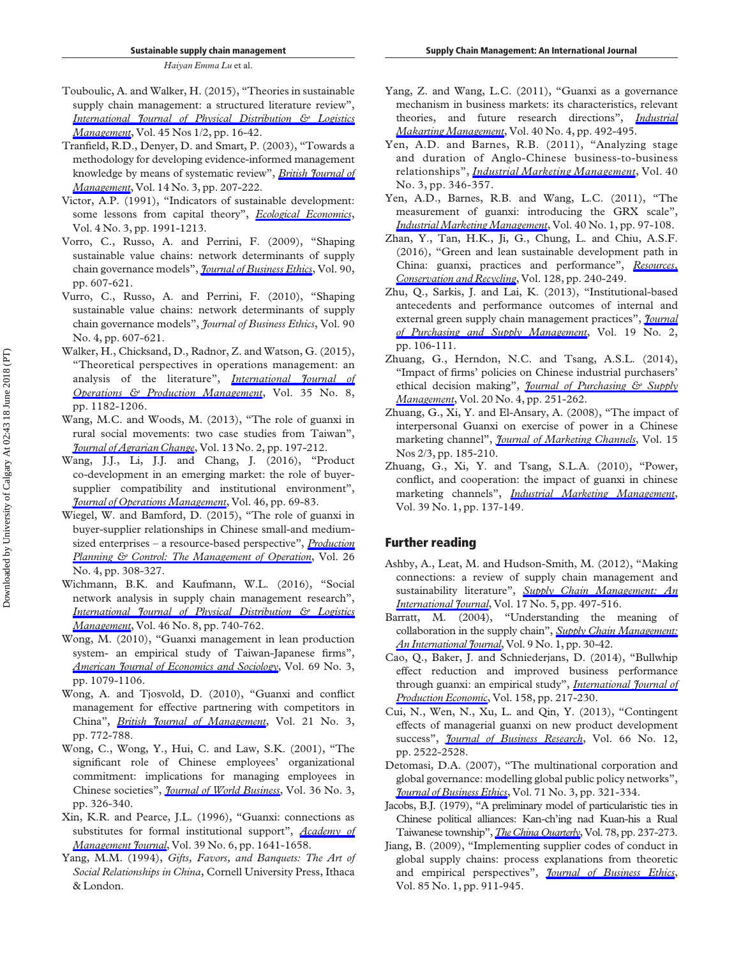- <span id="page-17-1"></span>Touboulic, A. and Walker, H. (2015), "Theories in sustainable supply chain management: a structured literature review", *[International Journal of Physical Distribution & Logistics](https://www.emeraldinsight.com/action/showLinks?doi=10.1108%2FSCM-11-2016-0408&system=10.1108%2FIJPDLM-05-2013-0106&isi=000352714700002&citationId=p_106)  [Management](https://www.emeraldinsight.com/action/showLinks?doi=10.1108%2FSCM-11-2016-0408&system=10.1108%2FIJPDLM-05-2013-0106&isi=000352714700002&citationId=p_106)*, Vol. 45 Nos 1/2, pp. 16-42.
- <span id="page-17-8"></span>Tranfield, R.D., Denyer, D. and Smart, P. (2003), "Towards a methodology for developing evidence-informed management knowledge by means of systematic review", *[British Journal of](https://www.emeraldinsight.com/action/showLinks?doi=10.1108%2FSCM-11-2016-0408&crossref=10.1111%2F1467-8551.00375&isi=000185800500002&citationId=p_107)  [Management](https://www.emeraldinsight.com/action/showLinks?doi=10.1108%2FSCM-11-2016-0408&crossref=10.1111%2F1467-8551.00375&isi=000185800500002&citationId=p_107)*, Vol. 14 No. 3, pp. 207-222.
- <span id="page-17-0"></span>Victor, A.P. (1991), "Indicators of sustainable development: some lessons from capital theory", *[Ecological Economics](https://www.emeraldinsight.com/action/showLinks?doi=10.1108%2FSCM-11-2016-0408&crossref=10.1016%2F0921-8009%2891%2990051-F&citationId=p_108)*, Vol. 4 No. 3, pp. 1991-1213.
- <span id="page-17-7"></span>Vorro, C., Russo, A. and Perrini, F. (2009), "Shaping sustainable value chains: network determinants of supply chain governance models", *[Journal of Business Ethics](https://www.emeraldinsight.com/action/showLinks?doi=10.1108%2FSCM-11-2016-0408&crossref=10.1007%2Fs10551-010-0595-x&isi=000283514100012&citationId=p_109)*, Vol. 90, pp. 607-621.
- <span id="page-17-21"></span>Vurro, C., Russo, A. and Perrini, F. (2010), "Shaping sustainable value chains: network determinants of supply chain governance models", *Journal of Business Ethics*, Vol. 90 No. 4, pp. 607-621.
- <span id="page-17-9"></span>Walker, H., Chicksand, D., Radnor, Z. and Watson, G. (2015), "Theoretical perspectives in operations management: an analysis of the literature", *[International Journal of](https://www.emeraldinsight.com/action/showLinks?doi=10.1108%2FSCM-11-2016-0408&system=10.1108%2FIJOPM-02-2014-0089&isi=000359053500004&citationId=p_111) [Operations & Production Management](https://www.emeraldinsight.com/action/showLinks?doi=10.1108%2FSCM-11-2016-0408&system=10.1108%2FIJOPM-02-2014-0089&isi=000359053500004&citationId=p_111)*, Vol. 35 No. 8, pp. 1182-1206.
- <span id="page-17-12"></span>Wang, M.C. and Woods, M. (2013), "The role of guanxi in rural social movements: two case studies from Taiwan", *[Journal of Agrarian Change](https://www.emeraldinsight.com/action/showLinks?doi=10.1108%2FSCM-11-2016-0408&crossref=10.1111%2Fj.1471-0366.2012.00359.x&isi=000316273300001&citationId=p_112)*, Vol. 13 No. 2, pp. 197-212.
- <span id="page-17-17"></span>Wang, J.J., Li, J.J. and Chang, J. (2016), "Product co-development in an emerging market: the role of buyersupplier compatibility and institutional environment", *[Journal of Operations Management](https://www.emeraldinsight.com/action/showLinks?doi=10.1108%2FSCM-11-2016-0408&crossref=10.1016%2Fj.jom.2016.07.002&isi=000385055100006&citationId=p_113)*, Vol. 46, pp. 69-83.
- <span id="page-17-15"></span>Wiegel, W. and Bamford, D. (2015), "The role of guanxi in buyer-supplier relationships in Chinese small-and mediumsized enterprises – a resource-based perspective", *[Production](https://www.emeraldinsight.com/action/showLinks?doi=10.1108%2FSCM-11-2016-0408&isi=000354552200005&citationId=p_114)  [Planning & Control: The Management of Operation](https://www.emeraldinsight.com/action/showLinks?doi=10.1108%2FSCM-11-2016-0408&isi=000354552200005&citationId=p_114)*, Vol. 26 No. 4, pp. 308-327.
- <span id="page-17-22"></span>Wichmann, B.K. and Kaufmann, W.L. (2016), "Social network analysis in supply chain management research", *[International Journal of Physical Distribution & Logistics](https://www.emeraldinsight.com/action/showLinks?doi=10.1108%2FSCM-11-2016-0408&system=10.1108%2FIJPDLM-05-2015-0122&isi=000393032200002&citationId=p_115)  [Management](https://www.emeraldinsight.com/action/showLinks?doi=10.1108%2FSCM-11-2016-0408&system=10.1108%2FIJPDLM-05-2015-0122&isi=000393032200002&citationId=p_115)*, Vol. 46 No. 8, pp. 740-762.
- <span id="page-17-19"></span>Wong, M. (2010), "Guanxi management in lean production system- an empirical study of Taiwan-Japanese firms", *[American Journal of Economics and Sociology](https://www.emeraldinsight.com/action/showLinks?doi=10.1108%2FSCM-11-2016-0408&crossref=10.1111%2Fj.1536-7150.2010.00733.x&isi=000279155100010&citationId=p_116)*, Vol. 69 No. 3, pp. 1079-1106.
- <span id="page-17-18"></span>Wong, A. and Tjosvold, D. (2010), "Guanxi and conflict management for effective partnering with competitors in China", *[British Journal of Management](https://www.emeraldinsight.com/action/showLinks?doi=10.1108%2FSCM-11-2016-0408&crossref=10.1111%2Fj.1467-8551.2010.00690.x&isi=000280989200011&citationId=p_117)*, Vol. 21 No. 3, pp. 772-788.
- <span id="page-17-20"></span>Wong, C., Wong, Y., Hui, C. and Law, S.K. (2001), "The significant role of Chinese employees' organizational commitment: implications for managing employees in Chinese societies", *[Journal of World Business](https://www.emeraldinsight.com/action/showLinks?doi=10.1108%2FSCM-11-2016-0408&crossref=10.1016%2FS1090-9516%2801%2900058-X&isi=000170956100006&citationId=p_118)*, Vol. 36 No. 3, pp. 326-340.
- <span id="page-17-3"></span>Xin, K.R. and Pearce, J.L. (1996), "Guanxi: connections as substitutes for formal institutional support", *[Academy of](https://www.emeraldinsight.com/action/showLinks?doi=10.1108%2FSCM-11-2016-0408&crossref=10.2307%2F257072&isi=A1996WG80700008&citationId=p_119)  [Management Journal](https://www.emeraldinsight.com/action/showLinks?doi=10.1108%2FSCM-11-2016-0408&crossref=10.2307%2F257072&isi=A1996WG80700008&citationId=p_119)*, Vol. 39 No. 6, pp. 1641-1658.
- <span id="page-17-2"></span>Yang, M.M. (1994), *Gifts, Favors, and Banquets: The Art of Social Relationships in China*, Cornell University Press, Ithaca & London.
- <span id="page-17-5"></span>Yang, Z. and Wang, L.C. (2011), "Guanxi as a governance mechanism in business markets: its characteristics, relevant theories, and future research directions", *[Industrial](https://www.emeraldinsight.com/action/showLinks?doi=10.1108%2FSCM-11-2016-0408&crossref=10.1016%2Fj.indmarman.2010.12.004&isi=000291138700002&citationId=p_121)  [Makarting Management](https://www.emeraldinsight.com/action/showLinks?doi=10.1108%2FSCM-11-2016-0408&crossref=10.1016%2Fj.indmarman.2010.12.004&isi=000291138700002&citationId=p_121)*, Vol. 40 No. 4, pp. 492-495.
- <span id="page-17-16"></span>Yen, A.D. and Barnes, R.B. (2011), "Analyzing stage and duration of Anglo-Chinese business-to-business relationships", *[Industrial Marketing Management](https://www.emeraldinsight.com/action/showLinks?doi=10.1108%2FSCM-11-2016-0408&crossref=10.1016%2Fj.indmarman.2010.08.003&isi=000289452900004&citationId=p_122)*, Vol. 40 No. 3, pp. 346-357.
- <span id="page-17-14"></span>Yen, A.D., Barnes, R.B. and Wang, L.C. (2011), "The measurement of guanxi: introducing the GRX scale", *[Industrial Marketing Management](https://www.emeraldinsight.com/action/showLinks?doi=10.1108%2FSCM-11-2016-0408&crossref=10.1016%2Fj.indmarman.2010.09.014&isi=000287789000012&citationId=p_123)*, Vol. 40 No. 1, pp. 97-108.
- <span id="page-17-10"></span>Zhan, Y., Tan, H.K., Ji, G., Chung, L. and Chiu, A.S.F. (2016), "Green and lean sustainable development path in China: guanxi, practices and performance", *[Resources,](https://www.emeraldinsight.com/action/showLinks?doi=10.1108%2FSCM-11-2016-0408&crossref=10.1016%2Fj.resconrec.2016.02.006&isi=000417658500026&citationId=p_124)  [Conservation and Recycling](https://www.emeraldinsight.com/action/showLinks?doi=10.1108%2FSCM-11-2016-0408&crossref=10.1016%2Fj.resconrec.2016.02.006&isi=000417658500026&citationId=p_124)*, Vol. 128, pp. 240-249.
- <span id="page-17-6"></span>Zhu, Q., Sarkis, J. and Lai, K. (2013), "Institutional-based antecedents and performance outcomes of internal and external green supply chain management practices", *[Journal](https://www.emeraldinsight.com/action/showLinks?doi=10.1108%2FSCM-11-2016-0408&crossref=10.1016%2Fj.pursup.2012.12.001&isi=000321936800007&citationId=p_125)  [of Purchasing and Supply Management](https://www.emeraldinsight.com/action/showLinks?doi=10.1108%2FSCM-11-2016-0408&crossref=10.1016%2Fj.pursup.2012.12.001&isi=000321936800007&citationId=p_125)*, Vol. 19 No. 2, pp. 106-111.
- <span id="page-17-11"></span>Zhuang, G., Herndon, N.C. and Tsang, A.S.L. (2014), "Impact of firms' policies on Chinese industrial purchasers' ethical decision making", *[Journal of Purchasing & Supply](https://www.emeraldinsight.com/action/showLinks?doi=10.1108%2FSCM-11-2016-0408&crossref=10.1016%2Fj.pursup.2014.05.005&isi=000345476600004&citationId=p_126)  [Management](https://www.emeraldinsight.com/action/showLinks?doi=10.1108%2FSCM-11-2016-0408&crossref=10.1016%2Fj.pursup.2014.05.005&isi=000345476600004&citationId=p_126)*, Vol. 20 No. 4, pp. 251-262.
- <span id="page-17-4"></span>Zhuang, G., Xi, Y. and El-Ansary, A. (2008), "The impact of interpersonal Guanxi on exercise of power in a Chinese marketing channel", *[Journal of Marketing Channels](https://www.emeraldinsight.com/action/showLinks?doi=10.1108%2FSCM-11-2016-0408&crossref=10.1080%2F10466690802014104&citationId=p_127)*, Vol. 15 Nos 2/3, pp. 185-210.
- <span id="page-17-13"></span>Zhuang, G., Xi, Y. and Tsang, S.L.A. (2010), "Power, conflict, and cooperation: the impact of guanxi in chinese marketing channels", *[Industrial Marketing Management](https://www.emeraldinsight.com/action/showLinks?doi=10.1108%2FSCM-11-2016-0408&crossref=10.1016%2Fj.indmarman.2008.07.002&isi=000274971100015&citationId=p_128)*, Vol. 39 No. 1, pp. 137-149.

# **Further reading**

- Ashby, A., Leat, M. and Hudson-Smith, M. (2012), "Making connections: a review of supply chain management and sustainability literature", *[Supply Chain Management: An](https://www.emeraldinsight.com/action/showLinks?doi=10.1108%2FSCM-11-2016-0408&system=10.1108%2F13598541211258573&isi=000309085400003&citationId=p_129)  [International Journal](https://www.emeraldinsight.com/action/showLinks?doi=10.1108%2FSCM-11-2016-0408&system=10.1108%2F13598541211258573&isi=000309085400003&citationId=p_129)*, Vol. 17 No. 5, pp. 497-516.
- Barratt, M. (2004), "Understanding the meaning of collaboration in the supply chain", *[Supply Chain Management:](https://www.emeraldinsight.com/action/showLinks?doi=10.1108%2FSCM-11-2016-0408&system=10.1108%2F13598540410517566&isi=000220114000005&citationId=p_130)  [An International Journal](https://www.emeraldinsight.com/action/showLinks?doi=10.1108%2FSCM-11-2016-0408&system=10.1108%2F13598540410517566&isi=000220114000005&citationId=p_130)*, Vol. 9 No. 1, pp. 30-42.
- Cao, Q., Baker, J. and Schniederjans, D. (2014), "Bullwhip effect reduction and improved business performance through guanxi: an empirical study", *[International Journal of](https://www.emeraldinsight.com/action/showLinks?doi=10.1108%2FSCM-11-2016-0408&crossref=10.1016%2Fj.ijpe.2014.07.030&isi=000345729500021&citationId=p_131)  [Production Economic](https://www.emeraldinsight.com/action/showLinks?doi=10.1108%2FSCM-11-2016-0408&crossref=10.1016%2Fj.ijpe.2014.07.030&isi=000345729500021&citationId=p_131)*, Vol. 158, pp. 217-230.
- Cui, N., Wen, N., Xu, L. and Qin, Y. (2013), "Contingent effects of managerial guanxi on new product development success", *[Journal of Business Research](https://www.emeraldinsight.com/action/showLinks?doi=10.1108%2FSCM-11-2016-0408&crossref=10.1016%2Fj.jbusres.2013.05.044&isi=000326214300023&citationId=p_132)*, Vol. 66 No. 12, pp. 2522-2528.
- Detomasi, D.A. (2007), "The multinational corporation and global governance: modelling global public policy networks", *[Journal of Business Ethics](https://www.emeraldinsight.com/action/showLinks?doi=10.1108%2FSCM-11-2016-0408&crossref=10.1007%2Fs10551-006-9141-2&isi=000244309700006&citationId=p_133)*, Vol. 71 No. 3, pp. 321-334.
- Jacobs, B.J. (1979), "A preliminary model of particularistic ties in Chinese political alliances: Kan-ch'ing nad Kuan-his a Rual Taiwanese township", *[The China Quarterly](https://www.emeraldinsight.com/action/showLinks?doi=10.1108%2FSCM-11-2016-0408&crossref=10.1017%2FS0305741000040467&citationId=p_134)*, Vol. 78, pp. 237-273.
- Jiang, B. (2009), "Implementing supplier codes of conduct in global supply chains: process explanations from theoretic and empirical perspectives", *[Journal of Business Ethics](https://www.emeraldinsight.com/action/showLinks?doi=10.1108%2FSCM-11-2016-0408&crossref=10.1007%2Fs10551-008-9750-z&isi=000263378900007&citationId=p_135)*, Vol. 85 No. 1, pp. 911-945.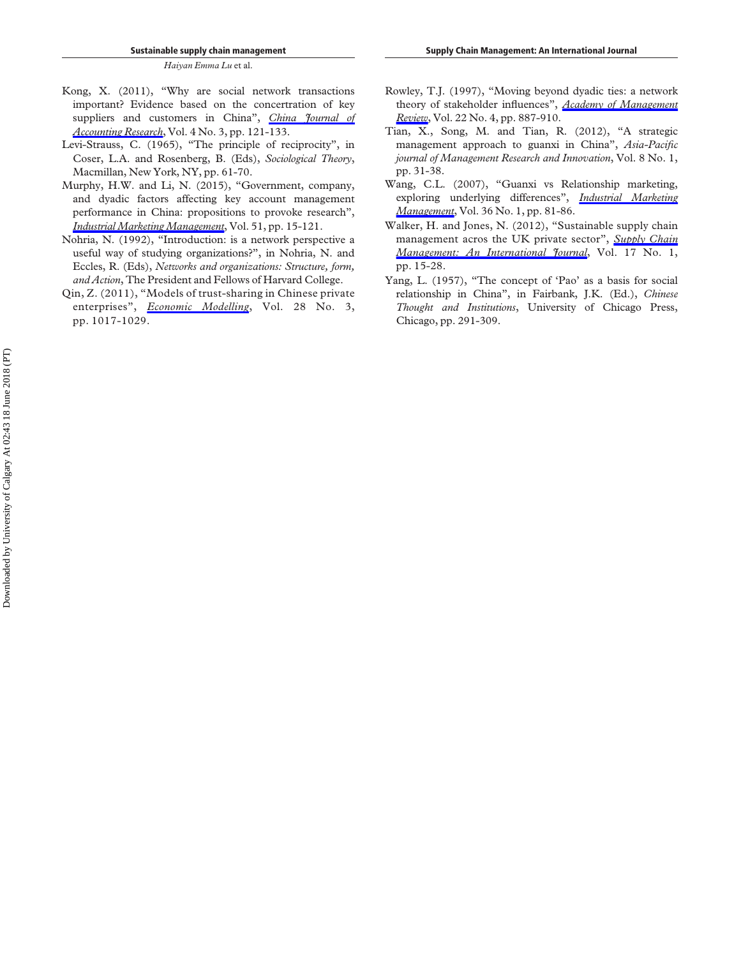- Kong, X. (2011), "Why are social network transactions important? Evidence based on the concertration of key suppliers and customers in China", *China Journal of [Accounting Research](https://www.emeraldinsight.com/action/showLinks?doi=10.1108%2FSCM-11-2016-0408&crossref=10.1016%2Fj.cjar.2011.06.003&citationId=p_136)*, Vol. 4 No. 3, pp. 121-133.
- Levi-Strauss, C. (1965), "The principle of reciprocity", in Coser, L.A. and Rosenberg, B. (Eds), *Sociological Theory*, Macmillan, New York, NY, pp. 61-70.
- Murphy, H.W. and Li, N. (2015), "Government, company, and dyadic factors affecting key account management performance in China: propositions to provoke research", *[Industrial Marketing Management](https://www.emeraldinsight.com/action/showLinks?doi=10.1108%2FSCM-11-2016-0408&crossref=10.1016%2Fj.indmarman.2015.05.007&isi=000367418800012&citationId=p_138)*, Vol. 51, pp. 15-121.
- Nohria, N. (1992), "Introduction: is a network perspective a useful way of studying organizations?", in Nohria, N. and Eccles, R. (Eds), *Networks and organizations: Structure, form, and Action*, The President and Fellows of Harvard College.
- Qin, Z. (2011), "Models of trust-sharing in Chinese private enterprises", *[Economic Modelling](https://www.emeraldinsight.com/action/showLinks?doi=10.1108%2FSCM-11-2016-0408&crossref=10.1016%2Fj.econmod.2010.11.013&isi=000290005600029&citationId=p_140)*, Vol. 28 No. 3, pp. 1017-1029.
- Rowley, T.J. (1997), "Moving beyond dyadic ties: a network theory of stakeholder influences", *[Academy of Management](https://www.emeraldinsight.com/action/showLinks?doi=10.1108%2FSCM-11-2016-0408&crossref=10.5465%2Famr.1997.9711022107&isi=000073228300009&citationId=p_141)  [Review](https://www.emeraldinsight.com/action/showLinks?doi=10.1108%2FSCM-11-2016-0408&crossref=10.5465%2Famr.1997.9711022107&isi=000073228300009&citationId=p_141)*, Vol. 22 No. 4, pp. 887-910.
- Tian, X., Song, M. and Tian, R. (2012), "A strategic management approach to guanxi in China", *Asia-Pacific journal of Management Research and Innovation*, Vol. 8 No. 1, pp. 31-38.
- Wang, C.L. (2007), "Guanxi vs Relationship marketing, exploring underlying differences", *[Industrial Marketing](https://www.emeraldinsight.com/action/showLinks?doi=10.1108%2FSCM-11-2016-0408&crossref=10.1016%2Fj.indmarman.2005.08.002&isi=000243290700010&citationId=p_143)  [Management](https://www.emeraldinsight.com/action/showLinks?doi=10.1108%2FSCM-11-2016-0408&crossref=10.1016%2Fj.indmarman.2005.08.002&isi=000243290700010&citationId=p_143)*, Vol. 36 No. 1, pp. 81-86.
- Walker, H. and Jones, N. (2012), "Sustainable supply chain management acros the UK private sector", *[Supply Chain](https://www.emeraldinsight.com/action/showLinks?doi=10.1108%2FSCM-11-2016-0408&system=10.1108%2F13598541211212177&isi=000301694700003&citationId=p_144) [Management: An International Journal](https://www.emeraldinsight.com/action/showLinks?doi=10.1108%2FSCM-11-2016-0408&system=10.1108%2F13598541211212177&isi=000301694700003&citationId=p_144)*, Vol. 17 No. 1, pp. 15-28.
- Yang, L. (1957), "The concept of 'Pao' as a basis for social relationship in China", in Fairbank, J.K. (Ed.), *Chinese Thought and Institutions*, University of Chicago Press, Chicago, pp. 291-309.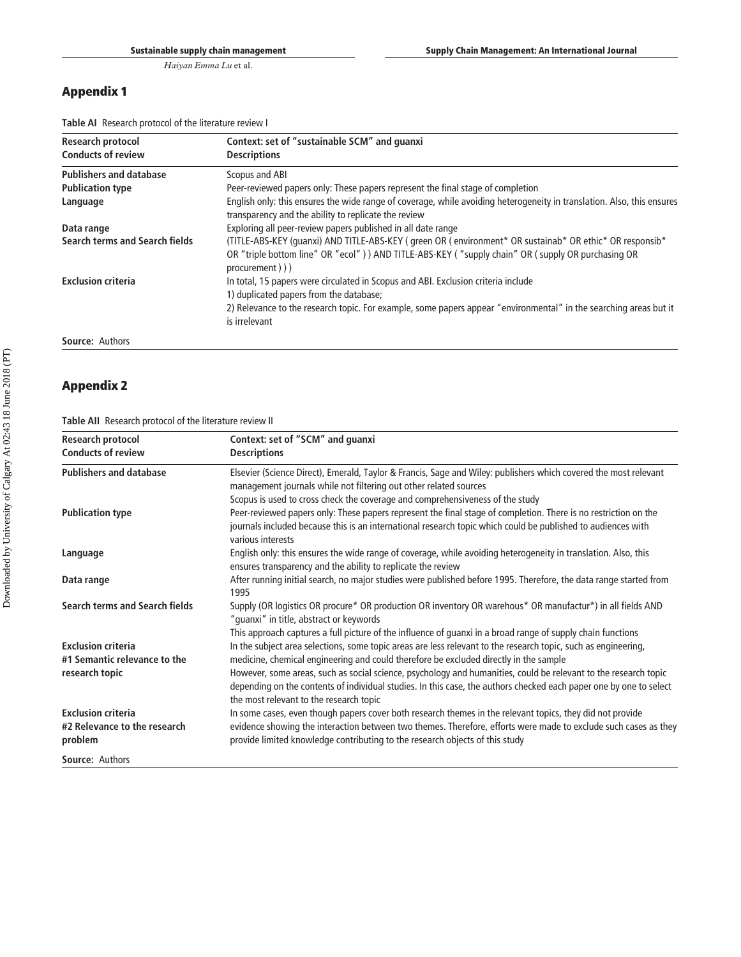# <span id="page-19-0"></span>**Appendix 1**

**Table AI** Research protocol of the literature review I

| <b>Research protocol</b>       | Context: set of "sustainable SCM" and quanxi<br><b>Descriptions</b>                                                                                                                                                                                                |  |
|--------------------------------|--------------------------------------------------------------------------------------------------------------------------------------------------------------------------------------------------------------------------------------------------------------------|--|
| <b>Conducts of review</b>      |                                                                                                                                                                                                                                                                    |  |
| <b>Publishers and database</b> | Scopus and ABI                                                                                                                                                                                                                                                     |  |
| <b>Publication type</b>        | Peer-reviewed papers only: These papers represent the final stage of completion                                                                                                                                                                                    |  |
| Language                       | English only: this ensures the wide range of coverage, while avoiding heterogeneity in translation. Also, this ensures<br>transparency and the ability to replicate the review                                                                                     |  |
| Data range                     | Exploring all peer-review papers published in all date range                                                                                                                                                                                                       |  |
| Search terms and Search fields | (TITLE-ABS-KEY (quanxi) AND TITLE-ABS-KEY (green OR (environment* OR sustainab* OR ethic* OR responsib*<br>OR "triple bottom line" OR "ecol" ) ) AND TITLE-ABS-KEY ( "supply chain" OR ( supply OR purchasing OR<br>procurement)))                                 |  |
| <b>Exclusion criteria</b>      | In total, 15 papers were circulated in Scopus and ABI. Exclusion criteria include<br>1) duplicated papers from the database;<br>2) Relevance to the research topic. For example, some papers appear "environmental" in the searching areas but it<br>is irrelevant |  |
| <b>Source: Authors</b>         |                                                                                                                                                                                                                                                                    |  |

# <span id="page-19-1"></span>**Appendix 2**

**Table AII** Research protocol of the literature review II

| <b>Research protocol</b>                                  | Context: set of "SCM" and guanxi                                                                                                                                                                                                                                                 |  |
|-----------------------------------------------------------|----------------------------------------------------------------------------------------------------------------------------------------------------------------------------------------------------------------------------------------------------------------------------------|--|
| <b>Conducts of review</b>                                 | <b>Descriptions</b>                                                                                                                                                                                                                                                              |  |
| <b>Publishers and database</b>                            | Elsevier (Science Direct), Emerald, Taylor & Francis, Sage and Wiley: publishers which covered the most relevant<br>management journals while not filtering out other related sources                                                                                            |  |
|                                                           | Scopus is used to cross check the coverage and comprehensiveness of the study                                                                                                                                                                                                    |  |
| <b>Publication type</b>                                   | Peer-reviewed papers only: These papers represent the final stage of completion. There is no restriction on the<br>journals included because this is an international research topic which could be published to audiences with<br>various interests                             |  |
| Language                                                  | English only: this ensures the wide range of coverage, while avoiding heterogeneity in translation. Also, this<br>ensures transparency and the ability to replicate the review                                                                                                   |  |
| Data range                                                | After running initial search, no major studies were published before 1995. Therefore, the data range started from<br>1995                                                                                                                                                        |  |
| Search terms and Search fields                            | Supply (OR logistics OR procure* OR production OR inventory OR warehous* OR manufactur*) in all fields AND<br>"guanxi" in title, abstract or keywords<br>This approach captures a full picture of the influence of guanxi in a broad range of supply chain functions             |  |
| <b>Exclusion criteria</b><br>#1 Semantic relevance to the | In the subject area selections, some topic areas are less relevant to the research topic, such as engineering,<br>medicine, chemical engineering and could therefore be excluded directly in the sample                                                                          |  |
| research topic                                            | However, some areas, such as social science, psychology and humanities, could be relevant to the research topic<br>depending on the contents of individual studies. In this case, the authors checked each paper one by one to select<br>the most relevant to the research topic |  |
| <b>Exclusion criteria</b>                                 | In some cases, even though papers cover both research themes in the relevant topics, they did not provide                                                                                                                                                                        |  |
| #2 Relevance to the research<br>problem                   | evidence showing the interaction between two themes. Therefore, efforts were made to exclude such cases as they<br>provide limited knowledge contributing to the research objects of this study                                                                                  |  |
| Source: Authors                                           |                                                                                                                                                                                                                                                                                  |  |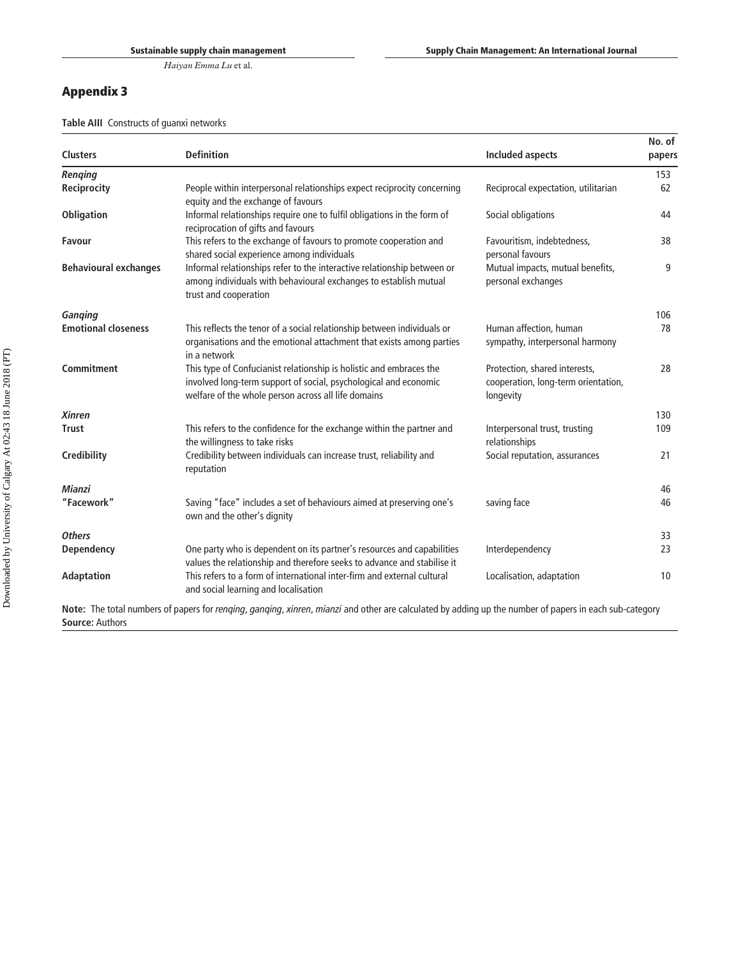# <span id="page-20-0"></span>**Appendix 3**

**Table AIII** Constructs of guanxi networks

| <b>Clusters</b>              | <b>Definition</b>                                                                                                                                                                              | <b>Included aspects</b>                                                           | No. of<br>papers |
|------------------------------|------------------------------------------------------------------------------------------------------------------------------------------------------------------------------------------------|-----------------------------------------------------------------------------------|------------------|
| Renging                      |                                                                                                                                                                                                |                                                                                   | 153              |
| Reciprocity                  | People within interpersonal relationships expect reciprocity concerning<br>equity and the exchange of favours                                                                                  | Reciprocal expectation, utilitarian                                               | 62               |
| Obligation                   | Informal relationships require one to fulfil obligations in the form of<br>reciprocation of gifts and favours                                                                                  | Social obligations                                                                | 44               |
| <b>Favour</b>                | This refers to the exchange of favours to promote cooperation and<br>shared social experience among individuals                                                                                | Favouritism, indebtedness,<br>personal favours                                    | 38               |
| <b>Behavioural exchanges</b> | Informal relationships refer to the interactive relationship between or<br>among individuals with behavioural exchanges to establish mutual<br>trust and cooperation                           | Mutual impacts, mutual benefits,<br>personal exchanges                            | 9                |
| Ganging                      |                                                                                                                                                                                                |                                                                                   | 106              |
| <b>Emotional closeness</b>   | This reflects the tenor of a social relationship between individuals or                                                                                                                        | Human affection, human                                                            | 78               |
|                              | organisations and the emotional attachment that exists among parties<br>in a network                                                                                                           | sympathy, interpersonal harmony                                                   |                  |
| Commitment                   | This type of Confucianist relationship is holistic and embraces the<br>involved long-term support of social, psychological and economic<br>welfare of the whole person across all life domains | Protection, shared interests,<br>cooperation, long-term orientation,<br>longevity | 28               |
| <b>Xinren</b>                |                                                                                                                                                                                                |                                                                                   | 130              |
| <b>Trust</b>                 | This refers to the confidence for the exchange within the partner and<br>the willingness to take risks                                                                                         | Interpersonal trust, trusting<br>relationships                                    | 109              |
| <b>Credibility</b>           | Credibility between individuals can increase trust, reliability and<br>reputation                                                                                                              | Social reputation, assurances                                                     | 21               |
| <b>Mianzi</b>                |                                                                                                                                                                                                |                                                                                   | 46               |
| "Facework"                   | Saving "face" includes a set of behaviours aimed at preserving one's<br>own and the other's dignity                                                                                            | saving face                                                                       | 46               |
| <b>Others</b>                |                                                                                                                                                                                                |                                                                                   | 33               |
| Dependency                   | One party who is dependent on its partner's resources and capabilities<br>values the relationship and therefore seeks to advance and stabilise it                                              | Interdependency                                                                   | 23               |
| <b>Adaptation</b>            | This refers to a form of international inter-firm and external cultural<br>and social learning and localisation                                                                                | Localisation, adaptation                                                          | 10               |

**Note:** The total numbers of papers for renqing, ganqing, xinren, mianzi and other are calculated by adding up the number of papers in each sub-category **Source:** Authors